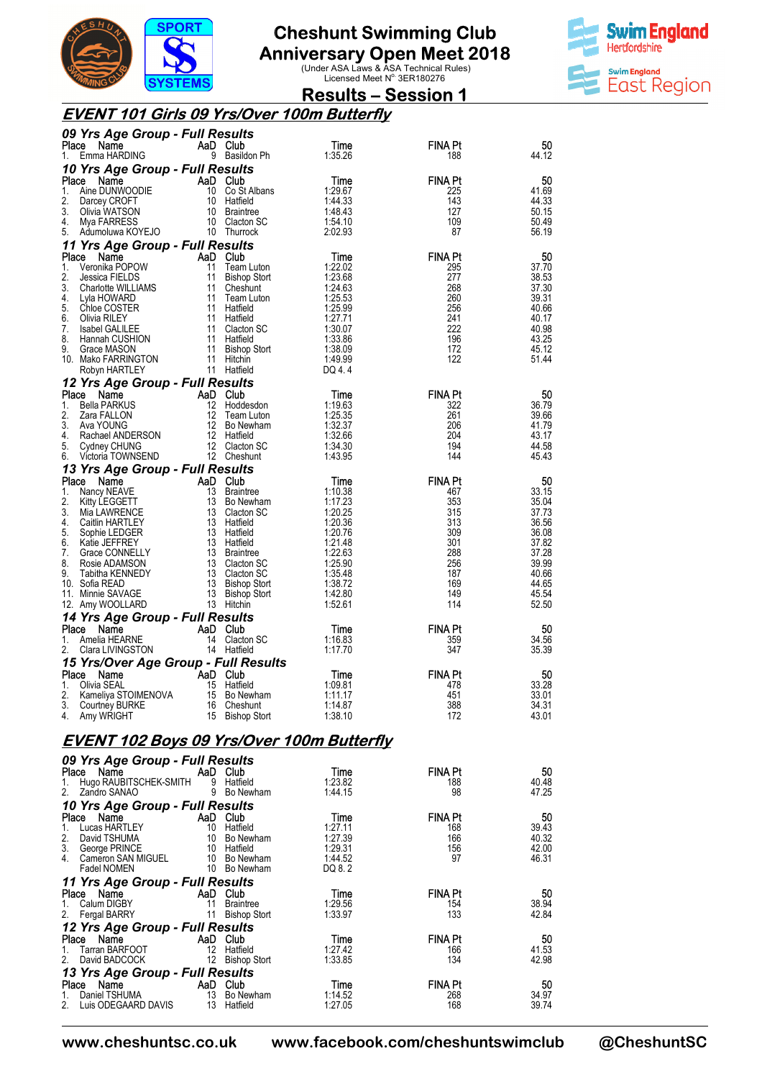

# **Anniversary Open Meet 2018**<br>Under ASA Laws & ASA Technical Rules)<br>Licensed Meet N<sup>o.</sup> 3ER180276



**Results – Session 1** 

#### **EVENT 101 Girls 09 Yrs/Over 100m Butterfly**

| 09 Yrs Age Group - Full Results                              |          |                                                     |                    |                       |                |
|--------------------------------------------------------------|----------|-----------------------------------------------------|--------------------|-----------------------|----------------|
| Place<br>Name<br>Emma HARDING<br>1.                          |          | AaD Club<br>9 Basildon Ph                           | Time<br>1:35.26    | FINA Pt<br>188        | 50<br>44.12    |
| 10 Yrs Age Group - Full Results<br>Place                     |          |                                                     | Time               | FINA Pt               | 50             |
| Aine DUNWOODIE<br>Aine DUNWOODIE<br>Darcey CPOET<br>1.       |          | 10 Co St Albans                                     | 1:29.67            | 225                   | 41.69          |
| 2.<br>Darcey CROFT<br>3.<br>Olivia WATSON<br>Michaelers      |          | 10 Hatfield<br>10 Braintree                         | 1:44.33<br>1:48.43 | 143<br>127            | 44.33<br>50.15 |
| 4.<br>Mya FARRESS<br>5.<br>Adumoluwa KOYEJO                  |          | 10 Clacton SC<br>10 Thurrock                        | 1:54.10<br>2:02.93 | 109<br>87             | 50.49<br>56.19 |
| 11 Yrs Age Group - Full Results                              |          |                                                     |                    |                       |                |
| Place<br>Name<br>1.<br>Veronika POPOW                        | AaD Club | <b>AaD Club</b><br>11 Team Luton<br>11 Rishon Stort | Time<br>1:22.02    | <b>FINA Pt</b><br>295 | 50<br>37.70    |
| 2.<br>Jessica FIELDS                                         |          | 11 Bishop Stort                                     | 1:23.68            | 277                   | 38.53          |
| Charlotte WILLIAMS<br>3.<br>4.<br>Lyla HOWARD                |          | 11 Cheshunt<br>11 Team Luton                        | 1:24.63<br>1:25.53 | 268<br>260            | 37.30<br>39.31 |
| 5.<br>Chloe COSTER<br>Olivia RILEY<br>6.                     |          | 11 Hatfield<br>11 Hatfield                          | 1:25.99<br>1:27.71 | 256<br>241            | 40.66<br>40.17 |
| 7.<br>Isabel GALILEE<br>8.<br>Hannah CUSHION                 |          | 11 Clacton SC<br>11 Hatfield                        | 1:30.07<br>1:33.86 | 222<br>196            | 40.98<br>43.25 |
| 9.<br>Grace MASON                                            |          | 11 Bishop Stort                                     | 1:38.09            | 172                   | 45.12          |
| 10. Mako FARRINGTON<br>Robyn HARTLEY                         |          | 11 Hitchin<br>11 Hatfield                           | 1:49.99<br>DQ 4.4  | 122                   | 51.44          |
| 12 Yrs Age Group - Full Results                              |          |                                                     |                    |                       |                |
| Place<br>Name<br><b>Bella PARKUS</b><br>1.                   | AaD Club | 12 Hoddesdon                                        | Time<br>1:19.63    | <b>FINA Pt</b><br>322 | 50<br>36.79    |
| 2.<br>Zara FALLON<br>3.<br>Ava YOUNG                         |          | 12 Team Luton<br>12 Bo Newham                       | 1:25.35<br>1:32.37 | 261<br>206            | 39.66<br>41.79 |
| 4.<br>Rachael ANDERSON                                       |          | 12 Hatfield                                         | 1:32.66            | 204                   | 43.17          |
| 5.<br>Cydney CHUNG<br>Victoria TOWNSEND<br>6.                |          | 12 Clacton SC<br>12 Cheshunt                        | 1:34.30<br>1:43.95 | 194<br>144            | 44.58<br>45.43 |
| 13 Yrs Age Group - Full Results                              |          |                                                     |                    |                       |                |
| Place<br>Name<br>Nancy NEAVE<br>1.                           | AaD Club | 13 Braintree                                        | Time<br>1:10.38    | FINA Pt<br>467        | 50<br>33.15    |
| 2.<br>Kitty LEGGETT<br>3.<br>Mia LAWRENCE                    |          | 13 Bo Newham<br>13 Clacton SC                       | 1:17.23<br>1:20.25 | 353<br>315            | 35.04<br>37.73 |
| 4.<br>Caitlin HARTLEY                                        |          | 13 Hatfield                                         | 1:20.36            | 313                   | 36.56          |
| 5.<br>Sophie LEDGER<br>6.<br>Katie JEFFREY                   |          | 13 Hatfield<br>13 Hatfield                          | 1:20.76<br>1:21.48 | 309<br>301            | 36.08<br>37.82 |
| 7.<br>Grace CONNELLY<br>8.<br>Rosie ADAMSON                  |          | 13 Braintree<br>13 Clacton SC                       | 1:22.63<br>1:25.90 | 288<br>256            | 37.28<br>39.99 |
| 9.<br>Tabitha KENNEDY                                        |          | 13 Clacton SC                                       | 1:35.48            | 187                   | 40.66          |
| 10. Sofia READ<br>11. Minnie SAVAGE                          |          | 13 Bishop Stort<br>13 Bishop Stort                  | 1:38.72<br>1:42.80 | 169<br>149            | 44.65<br>45.54 |
| 12. Amy WOOLLARD<br>14 Yrs Age Group - Full Results          |          | 13 Hitchin                                          | 1:52.61            | 114                   | 52.50          |
| Place<br>Name                                                |          | AaD Club                                            | Time               | <b>FINA Pt</b>        | 50             |
| Amelia HEARNE<br>1.<br>2.<br>Clara LIVINGSTON                |          | 14 Clacton SC<br>14 Hatfield                        | 1:16.83<br>1:17.70 | 359<br>347            | 34.56<br>35.39 |
| 15 Yrs/Over Age Group - Full Results                         |          |                                                     |                    |                       |                |
| Place Name<br><b>Example 2</b> AaD Club<br>Olivia SEAL<br>1. |          | 15 Hatfield                                         | Time<br>1:09.81    | <b>FINA Pt</b><br>478 | 50<br>33.28    |
| Kameliya STOIMENOVA<br>3.<br><b>Courtney BURKE</b>           |          | 15 Bo Newham<br>16 Cheshunt                         | 1:11.17<br>1:14.87 | 451<br>388            | 33.01<br>34.31 |
| Amy WRIGHT<br>4.                                             | 15       | <b>Bishop Stort</b>                                 | 1:38.10            | 172                   | 43.01          |
| <b>EVENT 102 Boys 09 Yrs/Over 100m Butterfly</b>             |          |                                                     |                    |                       |                |
| 09 Yrs Age Group - Full Results                              |          |                                                     |                    |                       |                |
| Name<br>Place                                                |          | AaD Club                                            | Time               | FINA Pt               | 50             |
| Hugo RAUBITSCHEK-SMITH<br>1.<br>2.<br>Zandro SANAO           | 9        | Hatfield<br>9 Bo Newham                             | 1:23.82<br>1:44.15 | 188<br>98             | 40.48<br>47.25 |
| 10 Yrs Age Group - Full Results                              |          |                                                     |                    |                       |                |
| Place<br>Name<br>1.<br>Lucas HARTLEY                         | 10       | AaD Club<br>Hatfield                                | Time<br>1:27.11    | FINA Pt<br>168        | 50<br>39.43    |
| 2.<br>David TSHUMA<br>3.<br>George PRINCE                    | 10       | Bo Newham<br>10 Hatfield                            | 1:27.39<br>1:29.31 | 166<br>156            | 40.32<br>42.00 |
| 4.<br>Cameron SAN MIGUEL                                     |          | 10 Bo Newham                                        | 1:44.52            | 97                    | 46.31          |
| Fadel NOMEN<br>11 Yrs Age Group - Full Results               |          | 10 Bo Newham                                        | DQ 8.2             |                       |                |
| Place<br>Name                                                |          | AaD Club                                            | Time               | FINA Pt               | 50             |
| Calum DIGBY<br>1.<br>2.<br><b>Fergal BARRY</b>               | 11       | <b>Braintree</b><br>11 Bishop Stort                 | 1:29.56<br>1:33.97 | 154<br>133            | 38.94<br>42.84 |
| 12 Yrs Age Group - Full Results                              |          |                                                     |                    |                       |                |
| Place<br>Name<br>Tarran BARFOOT<br>1.                        |          | AaD Club<br>12 Hatfield                             | Time<br>1:27.42    | FINA Pt<br>166        | 50<br>41.53    |
| 2.<br>David BADCOCK                                          |          | 12 Bishop Stort                                     | 1:33.85            | 134                   | 42.98          |
| 13 Yrs Age Group - Full Results<br>Place<br>Name             |          | AaD Club                                            | Time               | FINA Pt               | 50             |
| Daniel TSHUMA<br>1.<br>2.<br>Luis ODEGAARD DAVIS             |          | 13 Bo Newham<br>13 Hatfield                         | 1:14.52<br>1:27.05 | 268<br>168            | 34.97<br>39.74 |
|                                                              |          |                                                     |                    |                       |                |

www.cheshuntsc.co.uk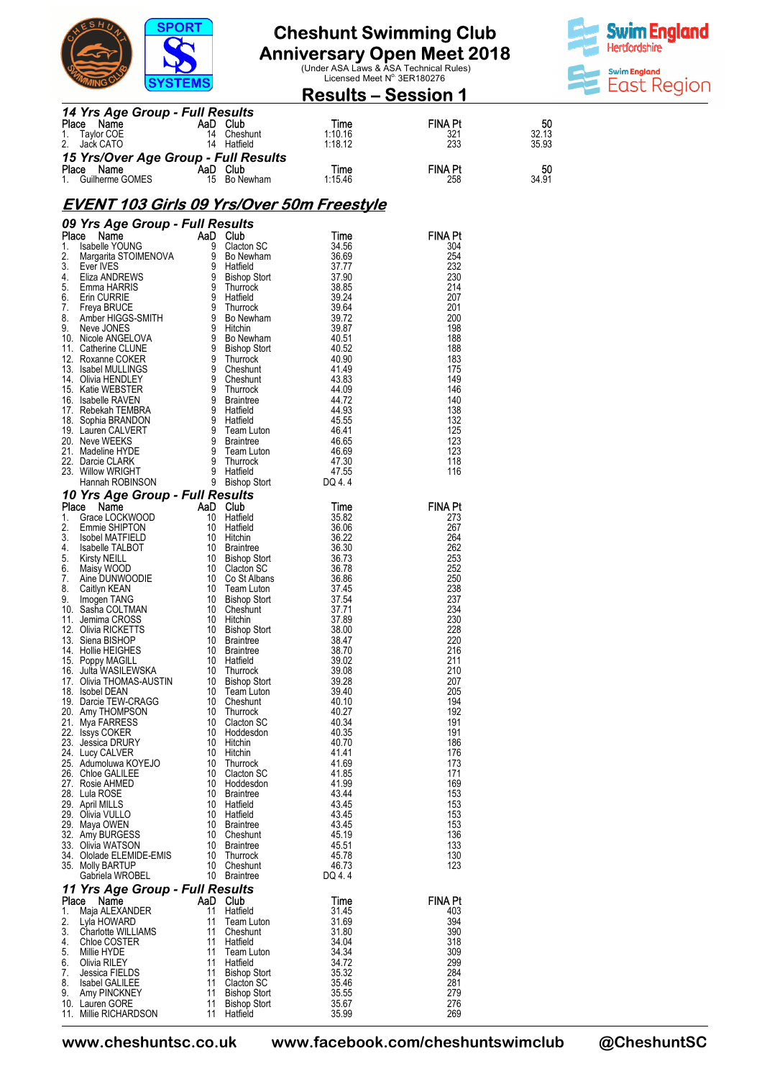

**Results – Session 1** 



| 14 Yrs Age Group - Full Results<br>Place Name       | AaD Club                                               | Time               | <b>FINA Pt</b>        | 50             |
|-----------------------------------------------------|--------------------------------------------------------|--------------------|-----------------------|----------------|
| 1.<br>Taylor COE<br>2.<br>Jack CATO                 | 14 Cheshunt<br>14 Hatfield                             | 1:10.16<br>1:18.12 | 321<br>233            | 32.13<br>35.93 |
| 15 Yrs/Over Age Group - Full Results                |                                                        |                    |                       |                |
| Place Name                                          | AaD Club                                               | Time               | <b>FINA Pt</b>        | 50             |
| Guilherme GOMES                                     | 15<br>Bo Newham                                        | 1:15.46            | 258                   | 34.91          |
|                                                     | <u>EVENT 103 Girls 09 Yrs/Over 50m Freestyle</u>       |                    |                       |                |
| 09 Yrs Age Group - Full Results                     |                                                        |                    |                       |                |
| Place Name<br>1.                                    | AaD Club<br>9                                          | Time               | <b>FINA Pt</b>        |                |
| <b>Isabelle YOUNG</b><br>2.<br>Margarita STOIMENOVA | Clacton SC<br>9<br>Bo Newham                           | 34.56<br>36.69     | 304<br>254            |                |
| 3.<br>Ever IVES                                     | 9<br>Hatfield                                          | 37.77              | 232                   |                |
| 4.<br>Eliza ANDREWS                                 | 9<br><b>Bishop Stort</b>                               | 37.90              | 230                   |                |
| 5.<br>Emma HARRIS<br>Erin CURRIE                    | 9<br>Thurrock<br>9<br>Hatfield                         | 38.85<br>39.24     | 214<br>207            |                |
| 7.<br>Freya BRUCE                                   | 9<br>Thurrock                                          | 39.64              | 201                   |                |
| 8.<br>Amber HIGGS-SMITH<br>9.                       | 9<br>Bo Newham                                         | 39.72              | 200                   |                |
| Neve JONES<br>10. Nicole ANGELOVA                   | 9<br>Hitchin<br>9<br>Bo Newham                         | 39.87<br>40.51     | 198<br>188            |                |
| 11. Catherine CLUNE                                 | 9<br><b>Bishop Stort</b>                               | 40.52              | 188                   |                |
| 12. Roxanne COKER                                   | 9<br>Thurrock                                          | 40.90              | 183                   |                |
| 13. Isabel MULLINGS<br>14. Olivia HENDLEY           | 9<br>Cheshunt<br>9                                     | 41.49<br>43.83     | 175<br>149            |                |
| 15. Katie WEBSTER                                   | Cheshunt<br>9<br>Thurrock                              | 44.09              | 146                   |                |
| 16. Isabelle RAVEN                                  | 9<br><b>Braintree</b>                                  | 44.72              | 140                   |                |
| 17. Rebekah TEMBRA                                  | 9<br>Hatfield                                          | 44.93              | 138                   |                |
| 18. Sophia BRANDON<br>19. Lauren CALVERT            | 9<br>Hatfield<br>9<br>Team Luton                       | 45.55<br>46.41     | 132<br>125            |                |
| 20. Neve WEEKS                                      | 9<br><b>Braintree</b>                                  | 46.65              | 123                   |                |
| 21. Madeline HYDE                                   | 9<br>Team Luton                                        | 46.69              | 123                   |                |
| 22. Darcie CLARK<br>23. Willow WRIGHT               | 9<br>Thurrock<br>9<br>Hatfield                         | 47.30<br>47.55     | 118<br>116            |                |
| Hannah ROBINSON                                     | 9 Bishop Stort                                         | DQ 4.4             |                       |                |
| 10 Yrs Age Group - Full Results                     |                                                        |                    |                       |                |
| Place Name<br>Grace LOCKWOOD<br>1.                  | AaD Club<br>10<br>Hatfield                             | Time<br>35.82      | <b>FINA Pt</b><br>273 |                |
| 2.<br>Emmie SHIPTON                                 | 10<br>Hatfield                                         | 36.06              | 267                   |                |
| <b>Isobel MATFIELD</b>                              | 10<br>Hitchin                                          | 36.22              | 264                   |                |
| Isabelle TALBOT<br>Kirsty NEILL                     | 10<br><b>Braintree</b><br>10 Bishop Stort              | 36.30<br>36.73     | 262<br>253            |                |
| Maisy WOOD                                          | 10 Clacton SC                                          | 36.78              | 252                   |                |
| Aine DUNWOODIE                                      | 10 Co St Albans                                        | 36.86              | 250                   |                |
| Caitlyn KEAN                                        | 10<br>Team Luton<br>10<br><b>Bishop Stort</b>          | 37.45<br>37.54     | 238<br>237            |                |
| Imogen TANG<br>10. Sasha COLTMAN                    | 10 Cheshunt                                            | 37.71              | 234                   |                |
| 11. Jemima CROSS                                    | 10 Hitchin                                             | 37.89              | 230                   |                |
| 12. Olivia RICKETTS                                 | 10<br>Bishop Stort<br>10                               | 38.00<br>38.47     | 228<br>220            |                |
| 13. Siena BISHOP<br>14. Hollie HEIGHES              | Braintree<br>10<br><b>Braintree</b>                    | 38.70              | 216                   |                |
| 15. Poppy MAGILL                                    | 10<br>Hatfield                                         | 39.02              | 211                   |                |
| 16. Julta WASILEWSKA                                | 10<br>Thurrock                                         | 39.08              | 210                   |                |
| Olivia THOMAS-AUSTIN<br>17.<br>18. Isobel DEAN      | 10<br><b>Bishop Stort</b><br>10<br>Team Luton          | 39.28<br>39.40     | 207<br>205            |                |
| 19. Darcie TEW-CRAGG                                | 10<br>Cheshunt                                         | 40.10              | 194                   |                |
| 20. Amy THOMPSON                                    | 10<br>Thurrock                                         | 40.27              | 192                   |                |
| 21. Mya FARRESS<br>22. Issys COKER                  | 10<br>Clacton SC<br>10<br>Hoddesdon                    | 40.34<br>40.35     | 191<br>191            |                |
| 23. Jessica DRURY                                   | 10<br>Hitchin                                          | 40.70              | 186                   |                |
| 24. Lucy CALVER                                     | 10<br>Hitchin                                          | 41.41              | 176                   |                |
| 25. Adumoluwa KOYEJO<br>26. Chloe GALILEE           | 10<br>Thurrock<br>Clacton SC<br>10                     | 41.69<br>41.85     | 173<br>171            |                |
| 27. Rosie AHMED                                     | 10<br>Hoddesdon                                        | 41.99              | 169                   |                |
| 28. Lula ROSE                                       | 10<br><b>Braintree</b>                                 | 43.44              | 153                   |                |
| 29. April MILLS                                     | 10 Hatfield<br>10                                      | 43.45<br>43.45     | 153<br>153            |                |
| 29. Olivia VULLO<br>29. Maya OWEN                   | Hatfield<br>10<br><b>Braintree</b>                     | 43.45              | 153                   |                |
| 32. Amy BURGESS                                     | 10<br>Cheshunt                                         | 45.19              | 136                   |                |
| 33. Olivia WATSON                                   | 10<br><b>Braintree</b>                                 | 45.51<br>45.78     | 133<br>130            |                |
| 34. Ololade ELEMIDE-EMIS<br>35. Molly BARTUP        | Thurrock<br>10<br>10 Cheshunt                          | 46.73              | 123                   |                |
| Gabriela WROBEL                                     | 10<br>Braintree                                        | DQ 4.4             |                       |                |
| 11 Yrs Age Group - Full Results                     |                                                        |                    |                       |                |
| Place Name<br>Maja ALEXANDER<br>1.                  | AaD Club<br>11<br>Hatfield                             | Time<br>31.45      | <b>FINA Pt</b><br>403 |                |
| 2.<br>Lyla HOWARD                                   | 11<br>Team Luton                                       | 31.69              | 394                   |                |
| 3.<br><b>Charlotte WILLIAMS</b>                     | 11<br>Cheshunt                                         | 31.80              | 390                   |                |
| 4.<br>Chloe COSTER<br>5.                            | 11<br>Hatfield<br>11<br>Team Luton                     | 34.04<br>34.34     | 318<br>309            |                |
| Millie HYDE<br>Olivia RILEY<br>6.                   | 11<br>Hatfield                                         | 34.72              | 299                   |                |
| 7.<br>Jessica FIELDS                                | 11<br><b>Bishop Stort</b>                              | 35.32              | 284                   |                |
| 8.<br><b>Isabel GALILEE</b>                         | 11<br>Clacton SC                                       | 35.46              | 281                   |                |
| Amy PINCKNEY<br>9.<br>10. Lauren GORE               | 11<br><b>Bishop Stort</b><br>11<br><b>Bishop Stort</b> | 35.55<br>35.67     | 279<br>276            |                |
| 11. Millie RICHARDSON                               | 11 Hatfield                                            | 35.99              | 269                   |                |

www.cheshuntsc.co.uk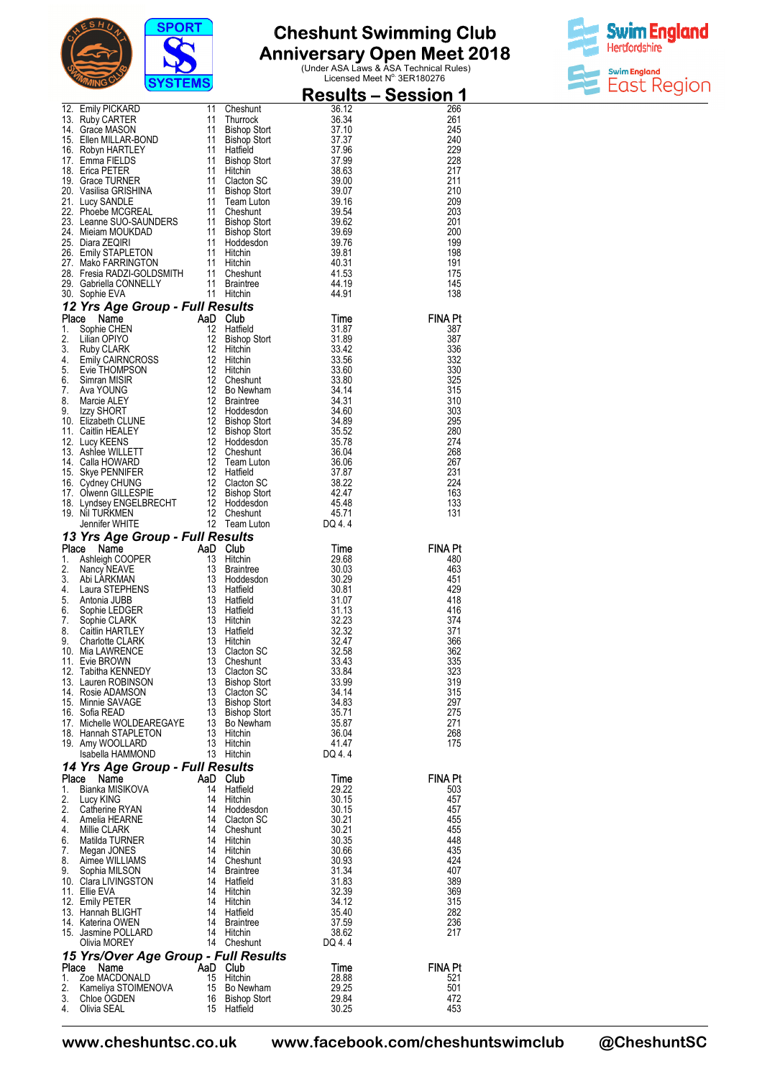

**Anniversary Open Meet 2018**<br>Under ASA Laws & ASA Technical Rules)<br>Licensed Meet N<sup>o.</sup> 3ER180276



|          | <b>Example 12</b><br>12. Emily PICKARD 11 Cheshunt 36.12<br>13. Ruby CARTER 11 Thurrock 36.34<br>15. Elien MILLAR-BOND 11 Bishop Stort 37.37<br>16. Robyn HARTLEY 11 Hatfield 37.96<br>17. Emma FIELDS 11 Bishop Stort 37.37<br>16. Robyn HARTL                                               |    |                                                                                  |                                                                | <u> Results – Session 1</u> |
|----------|-----------------------------------------------------------------------------------------------------------------------------------------------------------------------------------------------------------------------------------------------------------------------------------------------|----|----------------------------------------------------------------------------------|----------------------------------------------------------------|-----------------------------|
|          |                                                                                                                                                                                                                                                                                               |    |                                                                                  |                                                                | 266                         |
|          |                                                                                                                                                                                                                                                                                               |    |                                                                                  |                                                                | 261<br>245                  |
|          |                                                                                                                                                                                                                                                                                               |    |                                                                                  |                                                                | 240                         |
|          |                                                                                                                                                                                                                                                                                               |    |                                                                                  |                                                                | 229                         |
|          |                                                                                                                                                                                                                                                                                               |    |                                                                                  |                                                                | 228<br>217                  |
|          |                                                                                                                                                                                                                                                                                               |    |                                                                                  |                                                                | 211                         |
|          |                                                                                                                                                                                                                                                                                               |    |                                                                                  |                                                                | 210<br>209                  |
|          |                                                                                                                                                                                                                                                                                               |    |                                                                                  |                                                                | 203                         |
|          |                                                                                                                                                                                                                                                                                               |    |                                                                                  |                                                                | 201                         |
|          |                                                                                                                                                                                                                                                                                               |    |                                                                                  |                                                                | 200<br>199                  |
|          |                                                                                                                                                                                                                                                                                               |    |                                                                                  |                                                                | 198                         |
|          |                                                                                                                                                                                                                                                                                               |    |                                                                                  |                                                                | 191<br>175                  |
|          |                                                                                                                                                                                                                                                                                               |    |                                                                                  |                                                                | 145                         |
|          |                                                                                                                                                                                                                                                                                               |    |                                                                                  |                                                                | 138                         |
|          | 12 Yrs Age Group - Full Results<br>12 Yrs Age Group - Full Results<br>1. Sophie CHEN<br>1. Sophie CHEN<br>12 Hatfield<br>1. Sophie CHEN<br>12 Hatfield<br>12 Hatfield<br>12 Hatfield<br>12 Hitchin<br>12 Hitchin<br>53.42<br>4. Emily CARNCROSS<br>12 Hitchin<br>6. Simran MISIR<br>6. Simran |    |                                                                                  |                                                                |                             |
|          |                                                                                                                                                                                                                                                                                               |    |                                                                                  |                                                                | <b>FINA Pt</b><br>387       |
|          |                                                                                                                                                                                                                                                                                               |    |                                                                                  |                                                                | 387                         |
|          |                                                                                                                                                                                                                                                                                               |    |                                                                                  |                                                                | 336                         |
|          |                                                                                                                                                                                                                                                                                               |    |                                                                                  |                                                                | 332<br>330                  |
|          |                                                                                                                                                                                                                                                                                               |    |                                                                                  |                                                                | 325                         |
|          |                                                                                                                                                                                                                                                                                               |    |                                                                                  |                                                                | 315<br>310                  |
|          |                                                                                                                                                                                                                                                                                               |    |                                                                                  |                                                                | 303                         |
|          |                                                                                                                                                                                                                                                                                               |    |                                                                                  |                                                                | 295                         |
|          |                                                                                                                                                                                                                                                                                               |    |                                                                                  |                                                                | 280<br>274                  |
|          |                                                                                                                                                                                                                                                                                               |    |                                                                                  |                                                                | 268                         |
|          |                                                                                                                                                                                                                                                                                               |    |                                                                                  |                                                                | 267<br>231                  |
|          |                                                                                                                                                                                                                                                                                               |    |                                                                                  |                                                                | 224                         |
|          |                                                                                                                                                                                                                                                                                               |    |                                                                                  |                                                                | 163                         |
|          |                                                                                                                                                                                                                                                                                               |    |                                                                                  |                                                                | 133<br>131                  |
|          |                                                                                                                                                                                                                                                                                               |    |                                                                                  |                                                                |                             |
|          | 13 Yrs Age Group - Full Results                                                                                                                                                                                                                                                               |    |                                                                                  |                                                                |                             |
| 1.       | Place<br>Triangle Group - Full Results<br>Ce Name<br>Aab Club<br>Ashleigh COOPER<br>Ais Hotel and Screen<br>And Hitchin<br>Nancy NEAVE<br>And Screen<br>And Screen<br>And Screen<br>And Screen<br>Sophie CLARK<br>Caitlin HARTLEY<br>Clark Caitlin HARTLEY<br>Total                           |    | Fraintree<br>Hoddesdon<br>Hatfield<br>Hatfield<br>Hitchin<br>Fatfield<br>Hitchin | Time                                                           | <b>FINA Pt</b><br>480       |
| 2.       |                                                                                                                                                                                                                                                                                               |    |                                                                                  | 11110<br>29.68<br>30.03<br>30.29<br>30.81<br>31.07<br>31.13    | 463                         |
| 3.       |                                                                                                                                                                                                                                                                                               |    |                                                                                  |                                                                | 451                         |
| 4.<br>5. | Antonia JUBB                                                                                                                                                                                                                                                                                  |    |                                                                                  |                                                                | 429<br>418                  |
| 6.       |                                                                                                                                                                                                                                                                                               |    |                                                                                  |                                                                | 416                         |
| 7.<br>8. |                                                                                                                                                                                                                                                                                               |    |                                                                                  | $31.13$<br>$32.23$<br>$32.32$<br>$32.32$<br>$32.47$<br>$32.58$ | 374<br>371                  |
| 9.       |                                                                                                                                                                                                                                                                                               |    |                                                                                  |                                                                | 366                         |
|          | 10. Mia LAWRENCE                                                                                                                                                                                                                                                                              |    | Clacton SC                                                                       |                                                                | 362                         |
|          | 11. Evie BROWN<br>12. Tabitha KENNEDY                                                                                                                                                                                                                                                         | 13 | 13 Cheshunt<br>Clacton SC                                                        | 33.84                                                          | 335<br>323                  |
|          | 13. Lauren ROBINSON                                                                                                                                                                                                                                                                           |    | 13 Bishop Stort                                                                  | 33.99                                                          | 319                         |
|          | 14. Rosie ADAMSON<br>15. Minnie SAVAGE                                                                                                                                                                                                                                                        |    | 13 Clacton SC<br>13 Bishop Stort                                                 | 34.14<br>34.83                                                 | 315<br>297                  |
|          |                                                                                                                                                                                                                                                                                               |    |                                                                                  | 35.71<br>35.87                                                 | 275                         |
|          | 15. Minnie SAVAGE<br>16. Sofia READ 13 Bishop Stort<br>17. Michelle WOLDEAREGAYE 13 Bo Newham<br>18. Hannah STAPLETON 13 Hitchin                                                                                                                                                              |    |                                                                                  | 36.04                                                          | 271<br>268                  |
|          | 19. Amy WOOLLARD                                                                                                                                                                                                                                                                              |    | 13 Hitchin                                                                       | 41.47                                                          | 175                         |
|          | Isabella HAMMOND                                                                                                                                                                                                                                                                              |    | 13 Hitchin                                                                       | DQ 4.4                                                         |                             |
|          | 14 Yrs Age Group - Full Results                                                                                                                                                                                                                                                               |    |                                                                                  |                                                                |                             |
| 1.       | Place Name<br>Bianka MISIKOVA                                                                                                                                                                                                                                                                 |    | AaD Club<br>14 Hatfield                                                          | Time<br>29.22                                                  | <b>FINA Pt</b><br>503       |
| 2.       | Lucy KING                                                                                                                                                                                                                                                                                     |    | 14 Hitchin                                                                       | 30.15                                                          | 457                         |
| 2.<br>4. | Catherine RYAN<br>Amelia HEARNE                                                                                                                                                                                                                                                               |    | 14 Hoddesdon<br>14 Clacton SC                                                    | 30.15<br>30.21                                                 | 457<br>455                  |
|          | 4. Millie CLARK                                                                                                                                                                                                                                                                               |    | 14 Cheshunt                                                                      | 30.21                                                          | 455                         |
|          | 6. Matilda TURNER                                                                                                                                                                                                                                                                             |    | 14 Hitchin                                                                       | 30.35                                                          | 448                         |
|          | 7. Megan JONES<br>8. Aimee WILLIAMS                                                                                                                                                                                                                                                           |    | 14 Hitchin<br>14 Cheshunt                                                        | 30.66<br>30.93                                                 | 435<br>424                  |
| 9.       | Sophia MILSON                                                                                                                                                                                                                                                                                 |    | 14 Braintree                                                                     | 31.34                                                          | 407                         |
|          | 10. Clara LIVINGSTON<br>11. Ellie EVA                                                                                                                                                                                                                                                         |    | 14 Hatfield<br>14 Hitchin                                                        | 31.83<br>32.39                                                 | 389<br>369                  |
|          | 12. Emily PETER                                                                                                                                                                                                                                                                               |    | 14 Hitchin                                                                       | 34.12                                                          | 315                         |
|          | 13. Hannah BLIGHT                                                                                                                                                                                                                                                                             |    | 14 Hatfield                                                                      | 35.40<br>37.59                                                 | 282                         |
|          | 14. Katerina OWEN<br>15. Jasmine POLLARD                                                                                                                                                                                                                                                      |    | 14 Braintree<br>14 Hitchin                                                       | 38.62                                                          | 236<br>217                  |
|          | Olivia MOREY                                                                                                                                                                                                                                                                                  |    | 14 Cheshunt                                                                      | DQ 4.4                                                         |                             |
|          | 15 Yrs/Over Age Group - Full Results                                                                                                                                                                                                                                                          |    |                                                                                  |                                                                |                             |
|          | Place Name<br>AaD Club<br>1. Zoe MACDONALD                                                                                                                                                                                                                                                    |    |                                                                                  | Time<br>28.88                                                  | <b>FINA Pt</b><br>521       |
| 2.       | <b>20 NACDONALD<br/> Xoe MACDONALD<br/> Kameliya STOIMENOVA 15 Bo Newham<br/> Chloe OGDEN 16 Bishop Stort</b>                                                                                                                                                                                 |    |                                                                                  | 29.25                                                          | 501                         |
| 3.       | 4. Olivia SEAL                                                                                                                                                                                                                                                                                |    | 15 Hatfield                                                                      | 29.84<br>30.25                                                 | 472<br>453                  |
|          |                                                                                                                                                                                                                                                                                               |    |                                                                                  |                                                                |                             |

**www.cheshuntsc.co.uk www.facebook.com/ch www.facebook.com/cheshuntswimclub eshuntswimclub @CheshuntSC**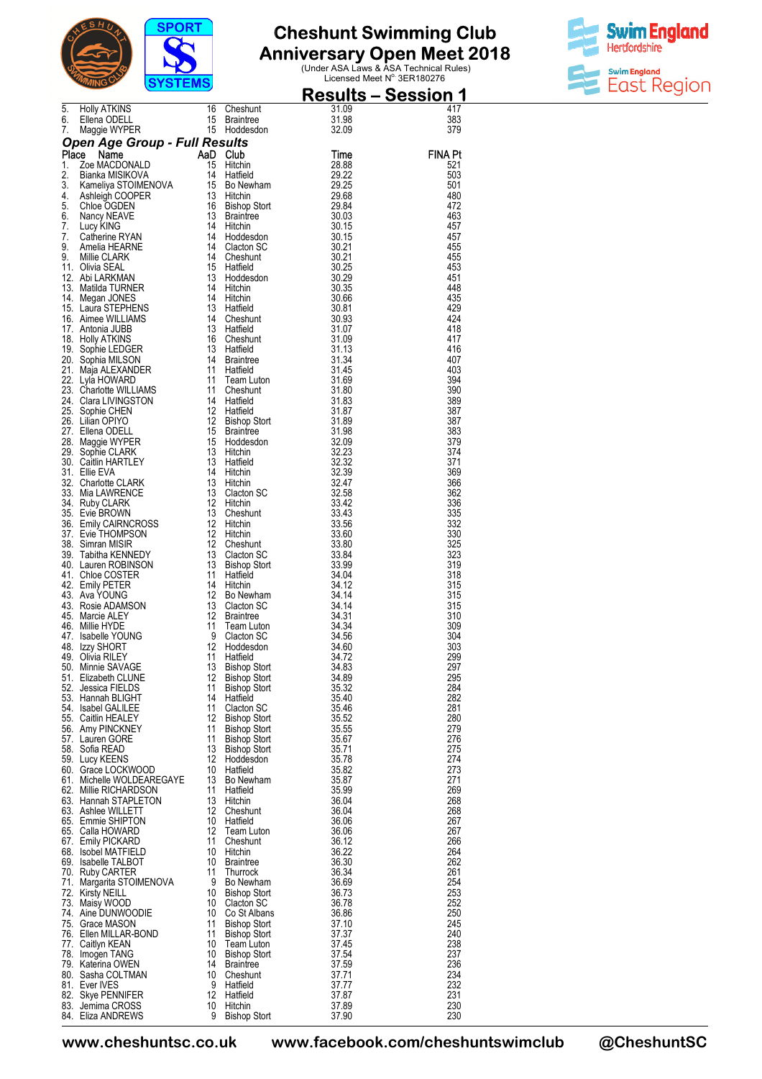

**Anniversary Open Meet 2018**<br>Under ASA Laws & ASA Technical Rules)<br>Licensed Meet N<sup>o.</sup> 3ER180276



|             | $\sigma$ is i eivis                                                                                                                                                                                                                                 |            |                                             |                | <u> Results – Session 1</u> |
|-------------|-----------------------------------------------------------------------------------------------------------------------------------------------------------------------------------------------------------------------------------------------------|------------|---------------------------------------------|----------------|-----------------------------|
| 5.<br>6.    | <b>Holly ATKINS</b><br>Ellena ODELL                                                                                                                                                                                                                 |            | 16 Cheshunt<br>15 Braintree<br>15 Hoddesdon | 31.09<br>31.98 | 417<br>383                  |
| 7.          | Maggie WYPER                                                                                                                                                                                                                                        |            |                                             | 32.09          | 379                         |
|             | Open Age Group - Full Results                                                                                                                                                                                                                       |            |                                             |                |                             |
| Place<br>1. |                                                                                                                                                                                                                                                     |            |                                             | Time<br>28.88  | <b>FINA Pt</b><br>521       |
| 2.<br>3.    |                                                                                                                                                                                                                                                     |            |                                             | 29.22<br>29.25 | 503<br>501                  |
| 4.          |                                                                                                                                                                                                                                                     |            |                                             | 29.68          | 480                         |
| 5.<br>6.    | North Map Control Communic Communication of the National Communication of the Map Club<br>Signals AMSIKOVA<br>Signals AMSIKOVA<br>Signals AMSIKOVA<br>Ashleigh COOPER<br>Ashleigh COOPER<br>13 Hitchin<br>Choe OGDEN<br>14 Hitchin<br>Catherine     |            |                                             | 29.84<br>30.03 | 472<br>463                  |
| 7.<br>7.    |                                                                                                                                                                                                                                                     |            |                                             | 30.15<br>30.15 | 457<br>457                  |
| 9.          |                                                                                                                                                                                                                                                     |            |                                             | 30.21          | 455                         |
| 9.          | Millie CLARK                                                                                                                                                                                                                                        | - 14<br>15 | Cheshunt<br>Hatfield                        | 30.21<br>30.25 | 455<br>453                  |
|             | <sup>3</sup> .<br>12. Abi LARKMAN<br>13. Matilda TURNER<br>14. Megan JONES<br>15. Laura STEPHENS<br><sup>45</sup> Aimee WILLIAMS                                                                                                                    | 13         | Hoddesdon                                   | 30.29          | 451                         |
|             |                                                                                                                                                                                                                                                     | -14<br>14  | Hitchin<br>Hitchin                          | 30.35<br>30.66 | 448<br>435                  |
|             |                                                                                                                                                                                                                                                     |            |                                             | 30.81<br>30.93 | 429<br>424                  |
|             |                                                                                                                                                                                                                                                     |            | Cheshunt<br>Hetfield                        | 31.07          | 418                         |
|             |                                                                                                                                                                                                                                                     |            | Cheshunt                                    | 31.09<br>31.13 | 417<br>416                  |
|             |                                                                                                                                                                                                                                                     |            |                                             | 31.34<br>31.45 | 407<br>403                  |
|             |                                                                                                                                                                                                                                                     |            | Team Luton<br>Cheshunt                      | 31.69          | 394                         |
|             |                                                                                                                                                                                                                                                     |            |                                             | 31.80<br>31.83 | 390<br>389                  |
|             |                                                                                                                                                                                                                                                     |            |                                             | 31.87          | 387                         |
|             |                                                                                                                                                                                                                                                     |            | <b>Bishop Stort</b>                         | 31.89<br>31.98 | 387<br>383                  |
|             | A. Mey<br>5. Laura STEr.<br>6. Aimee WILLIAMS<br>17. Antonia JUBB<br>17. Antonia JUBB<br>19. Sophia MILSON<br>19. Sophia MILSON<br>19. Sophia MILSON<br>19. Sophia MILSON<br>11 Hatfield<br>21. Maja ALEXANDER<br>21. Maja ALEXANDER<br>21 Hatfield |            | Hoddesdon                                   | 32.09<br>32.23 | 379<br>374                  |
|             | 30. Caitlin HARTLEY                                                                                                                                                                                                                                 | 13         | Hatfield                                    | 32.32          | 371                         |
|             | 31. Ellie EVA<br>32. Charlotte CLARK                                                                                                                                                                                                                | 14<br>13   | Hitchin<br>Hitchin                          | 32.39<br>32.47 | 369<br>366                  |
|             | 33. Mia LAWRENCE<br>34. Ruby CLARK                                                                                                                                                                                                                  | 13<br>12   | Clacton SC<br>Hitchin                       | 32.58<br>33.42 | 362<br>336                  |
|             | 35. Evie BROWN                                                                                                                                                                                                                                      | 13         | Cheshunt<br>U <sub>itobin</sub>             | 33.43          | 335                         |
|             |                                                                                                                                                                                                                                                     | 12<br>12   | Hitchin                                     | 33.56<br>33.60 | 332<br>330                  |
|             | 36. Emily CAIRNCROSS<br>37. Evie THOMPSON<br>38. Simran MISIR<br>39. Tabitha KENNEDY                                                                                                                                                                | 12         | Cheshunt                                    | 33.80          | 325                         |
|             | 40. Lauren ROBINSON                                                                                                                                                                                                                                 | 13<br>- 13 | Clacton SC<br>Bishop Stort                  | 33.84<br>33.99 | 323<br>319                  |
|             | 41. Chloe COSTER<br>41. SINCE<br>42. Emily PETER                                                                                                                                                                                                    | 11<br>14   | Hatfield<br>Hitchin                         | 34.04<br>34.12 | 318<br>315                  |
|             | 43. Ava YOUNG                                                                                                                                                                                                                                       | 12         | Bo Newham                                   | 34.14          | 315                         |
|             | 43. Rosie ADAMSON<br>45. Marcie ALEY                                                                                                                                                                                                                | 13<br>12   | Clacton SC<br><b>Braintree</b>              | 34.14<br>34.31 | 315<br>310                  |
|             | 46. Millie HYDE                                                                                                                                                                                                                                     | -11<br>- 9 | Team Luton<br>Clacton SC                    | 34.34<br>34.56 | 309<br>304                  |
|             | 46. Millie HYDE<br>47. Isabelle YOUNG<br>48. Izzy SHORT<br>49. Olivia BILEY                                                                                                                                                                         | 12         | Hoddesdon                                   | 34.60          | 303                         |
|             | 49. Olivia RILEY<br>50. Minnie SAVAGE                                                                                                                                                                                                               | 11<br>13   | Hatfield<br><b>Bishop Stort</b>             | 34.72<br>34.83 | 299<br>297                  |
|             | 51. Elizabeth CLUNE                                                                                                                                                                                                                                 | 12<br>11   | <b>Bishop Stort</b>                         | 34.89          | 295<br>284                  |
|             | 52. Jessica FIELDS<br>53. Hannah BLIGHT                                                                                                                                                                                                             | 14         | <b>Bishop Stort</b><br>Hatfield             | 35.32<br>35.40 | 282                         |
|             | 54. Isabel GALILEE<br>55. Caitlin HEALEY                                                                                                                                                                                                            | 11<br>12   | Clacton SC<br><b>Bishop Stort</b>           | 35.46<br>35.52 | 281<br>280                  |
|             | 56. Amy PINCKNEY                                                                                                                                                                                                                                    | 11         | <b>Bishop Stort</b>                         | 35.55          | 279                         |
|             | 57. Lauren GORE<br>58. Sofia READ                                                                                                                                                                                                                   | 11<br>13   | <b>Bishop Stort</b><br><b>Bishop Stort</b>  | 35.67<br>35.71 | 276<br>275                  |
|             | 59. Lucy KEENS<br>60. Grace LOCKWOOD                                                                                                                                                                                                                | 12<br>10   | Hoddesdon<br>Hatfield                       | 35.78<br>35.82 | 274<br>273                  |
|             | 61. Michelle WOLDEAREGAYE                                                                                                                                                                                                                           | 13         | Bo Newham                                   | 35.87          | 271                         |
|             | 62. Millie RICHARDSON<br>63. Hannah STAPLETON                                                                                                                                                                                                       | 11<br>13   | Hatfield<br>Hitchin                         | 35.99<br>36.04 | 269<br>268                  |
|             | 63. Ashlee WILLETT                                                                                                                                                                                                                                  | 12         | Cheshunt<br>Hatfield                        | 36.04          | 268                         |
|             | 65. Emmie SHIPTON<br>65. Calla HOWARD                                                                                                                                                                                                               | 10<br>12   | Team Luton                                  | 36.06<br>36.06 | 267<br>267                  |
|             | 67. Emily PICKARD<br>68. Isobel MATFIELD                                                                                                                                                                                                            | 11<br>10   | Cheshunt<br>Hitchin                         | 36.12<br>36.22 | 266<br>264                  |
|             | 69. Isabelle TALBOT                                                                                                                                                                                                                                 | 10         | <b>Braintree</b>                            | 36.30          | 262                         |
|             | 70. Ruby CARTER<br>71. Margarita STOIMENOVA                                                                                                                                                                                                         | 11<br>-9   | Thurrock<br>Bo Newham                       | 36.34<br>36.69 | 261<br>254                  |
|             | 72. Kirsty NEILL<br>73. Maisy WOOD                                                                                                                                                                                                                  | 10<br>10   | <b>Bishop Stort</b><br>Clacton SC           | 36.73<br>36.78 | 253<br>252                  |
|             | 74. Aine DUNWOODIE                                                                                                                                                                                                                                  | 10         | Co St Albans                                | 36.86          | 250                         |
|             | 75. Grace MASON<br>76. Ellen MILLAR-BOND                                                                                                                                                                                                            | 11<br>11   | <b>Bishop Stort</b><br><b>Bishop Stort</b>  | 37.10<br>37.37 | 245<br>240                  |
|             | 77. Caitlyn KEAN                                                                                                                                                                                                                                    | 10         | Team Luton                                  | 37.45          | 238                         |
|             | 78. Imogen TANG<br>79. Katerina OWEN                                                                                                                                                                                                                | 10<br>14   | <b>Bishop Stort</b><br><b>Braintree</b>     | 37.54<br>37.59 | 237<br>236                  |
|             | 80. Sasha COLTMAN<br>81. Ever IVES                                                                                                                                                                                                                  | 10<br>9    | Cheshunt<br>Hatfield                        | 37.71<br>37.77 | 234<br>232                  |
|             | 82. Skye PENNIFER                                                                                                                                                                                                                                   | 12         | Hatfield                                    | 37.87          | 231                         |
|             | 83. Jemima CROSS<br>84. Eliza ANDREWS                                                                                                                                                                                                               | 10<br>9    | Hitchin<br><b>Bishop Stort</b>              | 37.89<br>37.90 | 230<br>230                  |

www.cheshuntsc.co.uk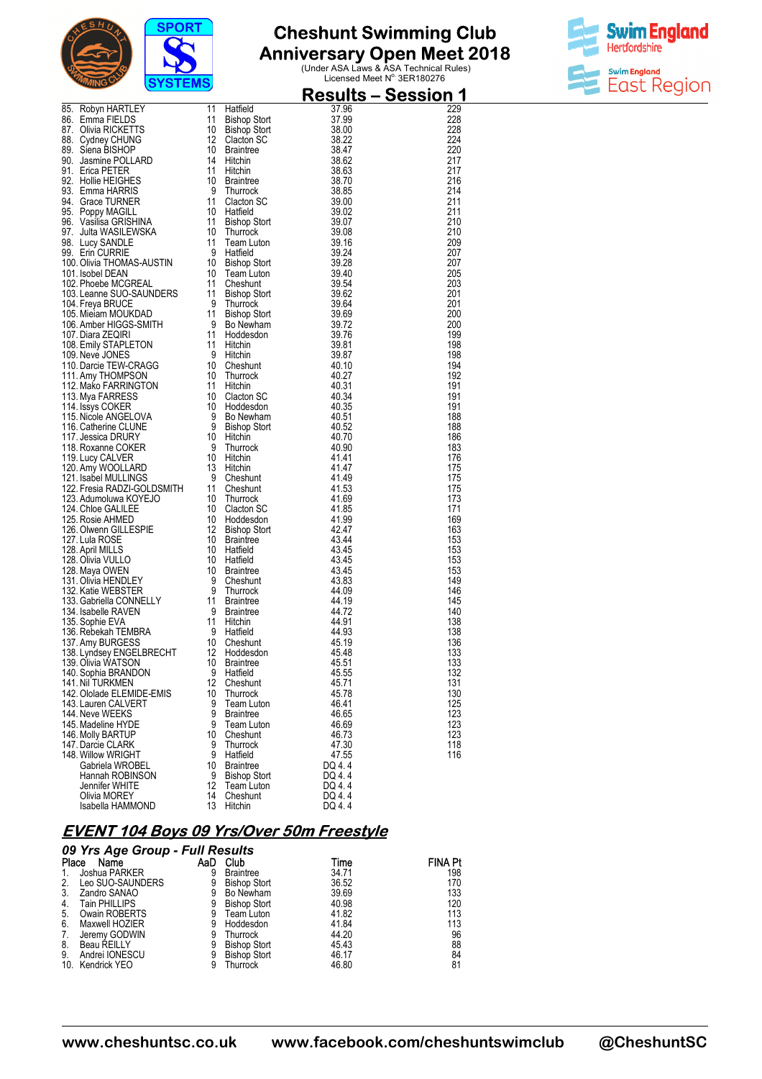



|                                              | 3131 EMS |           |                                      |                 | <u> Results – Session 1</u> |
|----------------------------------------------|----------|-----------|--------------------------------------|-----------------|-----------------------------|
| 85. Robyn HARTLEY                            |          | 11        | Hatfield                             | 37.96           | 229                         |
| 86. Emma FIELDS                              |          | 11        | <b>Bishop Stort</b>                  | 37.99           | 228                         |
| 87. Olivia RICKETTS                          |          | 10        | <b>Bishop Stort</b>                  | 38.00           | 228                         |
| 88. Cydney CHUNG                             |          | 12        | Clacton SC                           | 38.22           | 224                         |
| 89. Siena BISHOP                             |          | 10        | <b>Braintree</b>                     | 38.47           | 220                         |
| 90. Jasmine POLLARD                          |          | 14        | Hitchin                              | 38.62           | 217                         |
| 91. Erica PETER                              |          | 11        | Hitchin                              | 38.63           | 217                         |
| 92. Hollie HEIGHES<br>93. Emma HARRIS        |          | 10<br>-9  | <b>Braintree</b><br>Thurrock         | 38.70<br>38.85  | 216<br>214                  |
| 94. Grace TURNER                             |          | 11        | Clacton SC                           | 39.00           | 211                         |
| 95. Poppy MAGILL                             |          | 10        | Hatfield                             | 39.02           | 211                         |
| 96.   Vasilisa GRISHINA                      |          | 11        | <b>Bishop Stort</b>                  | 39.07           | 210                         |
| 97.  Julta WASILEWSKA                        |          | 10        | Thurrock                             | 39.08           | 210                         |
| 98. Lucy SANDLE                              |          | 11        | Team Luton                           | 39.16           | 209                         |
| 99. Erin CURRIE<br>100. Olivia THOMAS-AUSTIN |          | 9<br>10   | Hatfield<br><b>Bishop Stort</b>      | 39.24<br>39.28  | 207<br>207                  |
| 101. Isobel DEAN                             |          | 10        | Team Luton                           | 39.40           | 205                         |
| 102. Phoebe MCGREAL                          |          | 11        | Cheshunt                             | 39.54           | 203                         |
| 103. Leanne SUO-SAUNDERS                     |          | 11        | <b>Bishop Stort</b>                  | 39.62           | 201                         |
| 104. Freya BRUCE                             |          | 9         | Thurrock                             | 39.64           | 201                         |
| 105. Mieiam MOUKDAD                          |          | 11        | <b>Bishop Stort</b>                  | 39.69           | 200                         |
| 106. Amber HIGGS-SMITH                       |          | - 9<br>11 | Bo Newham                            | 39.72<br>39.76  | 200<br>199                  |
| 107. Diara ZEQIRI<br>108. Emily STAPLETON    |          | 11        | Hoddesdon<br>Hitchin                 | 39.81           | 198                         |
| 109. Neve JONES                              |          | - 9       | Hitchin                              | 39.87           | 198                         |
| 110. Darcie TEW-CRAGG                        |          | 10        | Cheshunt                             | 40.10           | 194                         |
| 111. Amy THOMPSON                            |          | 10        | Thurrock                             | 40.27           | 192                         |
| 112. Mako FARRINGTON                         |          | 11        | Hitchin                              | 40.31           | 191                         |
| 113. Mya FARRESS                             |          | 10<br>10  | Clacton SC                           | 40.34           | 191<br>191                  |
| 114. Issys COKER<br>115. Nicole ANGELOVA     |          | -9        | Hoddesdon<br>Bo Newham               | 40.35<br>40.51  | 188                         |
| 116. Catherine CLUNE                         |          | 9         | <b>Bishop Stort</b>                  | 40.52           | 188                         |
| 117. Jessica DRURY                           |          | 10        | Hitchin                              | 40.70           | 186                         |
| 118. Roxanne COKER                           |          | 9         | Thurrock                             | 40.90           | 183                         |
| 119. Lucy CALVER                             |          | 10        | Hitchin                              | 41.41           | 176                         |
| 120. Amy WOOLLARD<br>121. Isabel MULLINGS    |          | 13<br>- 9 | Hitchin                              | 41.47<br>41.49  | 175<br>175                  |
| 122. Fresia RADZI-GOLDSMITH                  |          | 11        | Cheshunt<br>Cheshunt                 | 41.53           | 175                         |
| 123. Adumoluwa KOYEJO                        |          | 10        | Thurrock                             | 41.69           | 173                         |
| 124. Chloe GALILEE                           |          | 10        | Clacton SC                           | 41.85           | 171                         |
| 125. Rosie AHMED                             |          | 10        | Hoddesdon                            | 41.99           | 169                         |
| 126. Olwenn GILLESPIE                        |          | 12        | <b>Bishop Stort</b>                  | 42.47           | 163                         |
| 127. Lula ROSE<br>128. April MILLS           |          | 10<br>10  | <b>Braintree</b><br>Hatfield         | 43.44<br>43.45  | 153<br>153                  |
| 128. Olivia VULLO                            |          | 10        | Hatfield                             | 43.45           | 153                         |
| 128. Maya OWEN                               |          | 10        | <b>Braintree</b>                     | 43.45           | 153                         |
| 131. Olivia HENDLEY                          |          | 9         | Cheshunt                             | 43.83           | 149                         |
| 132. Katie WEBSTER                           |          | 9         | Thurrock                             | 44.09           | 146                         |
| 133. Gabriella CONNELLY                      |          | 11        | <b>Braintree</b><br><b>Braintree</b> | 44.19           | 145                         |
| 134. Isabelle RAVEN<br>135. Sophie EVA       |          | 9<br>11   | Hitchin                              | 44.72<br>44.91  | 140<br>138                  |
| 136. Rebekah TEMBRA                          |          | - 9       | Hatfield                             | 44.93           | 138                         |
| 137. Amy BURGESS                             |          | 10        | Cheshunt                             | 45.19           | 136                         |
| 138. Lyndsey ENGELBRECHT                     |          | 12        | Hoddesdon                            | 45.48           | 133                         |
| 139. Olivia WATSON                           |          | 10        | <b>Braintree</b>                     | 45.51           | 133                         |
| 140. Sophia BRANDON<br>141. Nil TURKMEN      |          | 9<br>12   | Hatfield<br>Cheshunt                 | 45.55<br>45.71  | 132<br>131                  |
| 142. Ololade ELEMIDE-EMIS                    |          | 10        | Thurrock                             | 45.78           | 130                         |
| 143. Lauren CALVERT                          |          | 9         | Team Luton                           | 46.41           | 125                         |
| 144. Neve WEEKS                              |          | 9         | <b>Braintree</b>                     | 46.65           | 123                         |
| 145. Madeline HYDE                           |          | 9         | Team Luton                           | 46.69           | 123                         |
| 146. Molly BARTUP                            |          | 10        | Cheshunt                             | 46.73           | 123                         |
| 147. Darcie CLARK                            |          | 9<br>9    | Thurrock                             | 47.30           | 118                         |
| 148. Willow WRIGHT<br>Gabriela WROBEL        |          | 10        | Hatfield<br><b>Braintree</b>         | 47.55<br>DQ 4.4 | 116                         |
| Hannah ROBINSON                              |          | 9         | <b>Bishop Stort</b>                  | DQ 4.4          |                             |
| Jennifer WHITE                               |          | 12        | Team Luton                           | DQ 4.4          |                             |
| Olivia MOREY                                 |          | 14        | Cheshunt                             | DQ 4.4          |                             |
| Isabella HAMMOND                             |          | 13        | Hitchin                              | DQ 4.4          |                             |
|                                              |          |           |                                      |                 |                             |

#### **EVENT 104 Boys 09 Yrs/Over 50m Freestyle**

|       | 09 Yrs Age Group - Full Results |     |                     |       |                |  |  |  |  |
|-------|---------------------------------|-----|---------------------|-------|----------------|--|--|--|--|
| Place | Name                            | AaD | Club                | Time  | <b>FINA Pt</b> |  |  |  |  |
| 1.    | Joshua PARKER                   | 9   | <b>Braintree</b>    | 34.71 | 198            |  |  |  |  |
| 2.    | Leo SUO-SAUNDERS                | 9   | <b>Bishop Stort</b> | 36.52 | 170            |  |  |  |  |
| 3.    | Zandro SANAO                    | 9   | Bo Newham           | 39.69 | 133            |  |  |  |  |
| 4.    | <b>Tain PHILLIPS</b>            | 9   | <b>Bishop Stort</b> | 40.98 | 120            |  |  |  |  |
| 5.    | Owain ROBERTS                   | 9   | Team Luton          | 41.82 | 113            |  |  |  |  |
| 6.    | Maxwell HOZIER                  | 9   | Hoddesdon           | 41.84 | 113            |  |  |  |  |
| 7.    | Jeremy GODWIN                   | 9   | Thurrock            | 44.20 | 96             |  |  |  |  |
| 8.    | Beau REILLY                     |     | <b>Bishop Stort</b> | 45.43 | 88             |  |  |  |  |
| 9.    | Andrei IONESCU                  | 9   | <b>Bishop Stort</b> | 46.17 | 84             |  |  |  |  |
|       | 10. Kendrick YEO                | 9   | Thurrock            | 46.80 | 81             |  |  |  |  |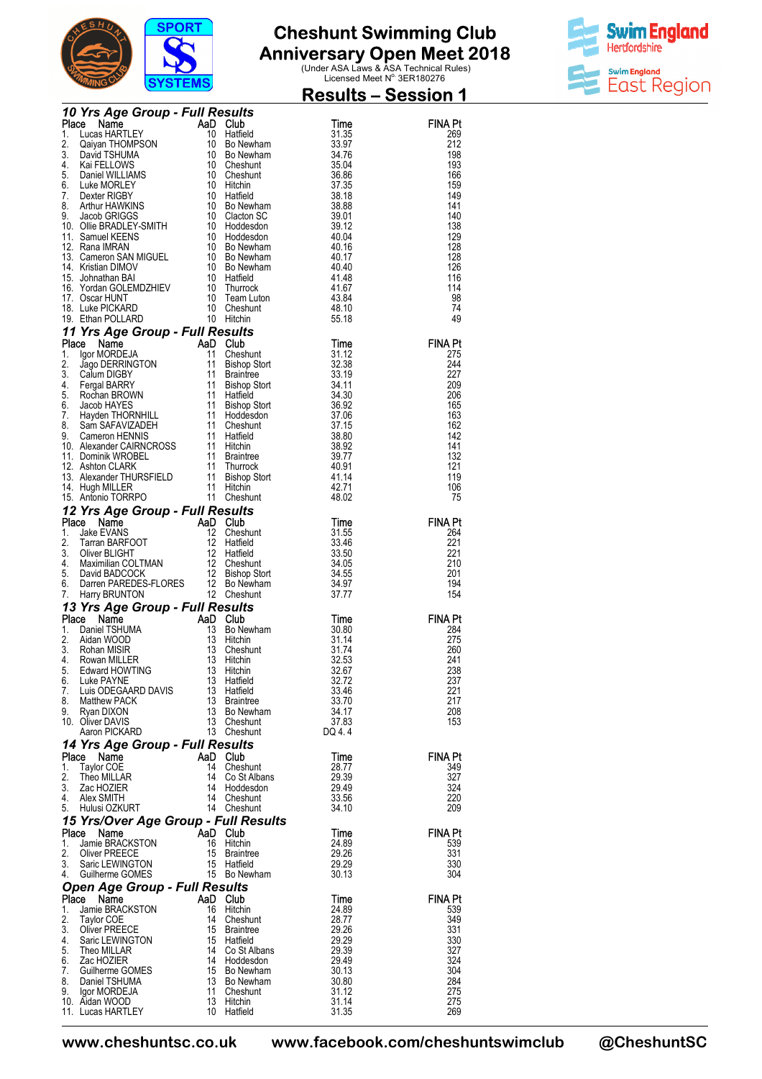



|          |                                                                                                                                                                                                                                                            |                                                    |                                                                       |                         | <u> Results – Session 1</u> |
|----------|------------------------------------------------------------------------------------------------------------------------------------------------------------------------------------------------------------------------------------------------------------|----------------------------------------------------|-----------------------------------------------------------------------|-------------------------|-----------------------------|
|          | <b>TO Yrs Age Group - Full Results</b><br>The Lucas HARTLEY<br>1. Lucas HARTLEY<br>1. Lucas HARTLEY<br>1. Lucas HARTLEY<br>3. David TSHUMA<br>4. Kai FELOWS 10 Bolvewham<br>4. Fair FELOWS 10 Bolvewham<br>5. David TSHUMA<br>5. David TSHUMA<br>5. Dav    |                                                    |                                                                       |                         |                             |
|          |                                                                                                                                                                                                                                                            |                                                    |                                                                       |                         | <b>FINA Pt</b>              |
|          |                                                                                                                                                                                                                                                            |                                                    |                                                                       |                         | 269<br>212                  |
|          |                                                                                                                                                                                                                                                            |                                                    |                                                                       |                         | 198                         |
|          |                                                                                                                                                                                                                                                            |                                                    |                                                                       |                         | 193                         |
|          |                                                                                                                                                                                                                                                            |                                                    |                                                                       |                         | 166                         |
|          |                                                                                                                                                                                                                                                            |                                                    |                                                                       |                         | 159<br>149                  |
|          |                                                                                                                                                                                                                                                            |                                                    |                                                                       |                         | 141                         |
|          |                                                                                                                                                                                                                                                            |                                                    |                                                                       |                         | 140                         |
|          |                                                                                                                                                                                                                                                            |                                                    |                                                                       |                         | 138                         |
|          |                                                                                                                                                                                                                                                            |                                                    |                                                                       |                         | 129<br>128                  |
|          |                                                                                                                                                                                                                                                            |                                                    |                                                                       |                         | 128                         |
|          |                                                                                                                                                                                                                                                            |                                                    |                                                                       |                         | 126                         |
|          |                                                                                                                                                                                                                                                            |                                                    |                                                                       |                         | 116<br>114                  |
|          |                                                                                                                                                                                                                                                            |                                                    |                                                                       |                         | 98                          |
|          |                                                                                                                                                                                                                                                            |                                                    |                                                                       |                         | 74                          |
|          |                                                                                                                                                                                                                                                            |                                                    |                                                                       |                         | 49                          |
|          |                                                                                                                                                                                                                                                            |                                                    |                                                                       |                         |                             |
|          |                                                                                                                                                                                                                                                            |                                                    |                                                                       |                         | <b>FINA Pt</b><br>275       |
|          |                                                                                                                                                                                                                                                            |                                                    |                                                                       |                         | 244                         |
|          |                                                                                                                                                                                                                                                            |                                                    |                                                                       |                         | 227                         |
|          |                                                                                                                                                                                                                                                            |                                                    |                                                                       |                         | 209                         |
|          |                                                                                                                                                                                                                                                            |                                                    |                                                                       |                         | 206<br>165                  |
|          |                                                                                                                                                                                                                                                            |                                                    |                                                                       |                         | 163                         |
|          |                                                                                                                                                                                                                                                            |                                                    |                                                                       |                         | 162                         |
|          |                                                                                                                                                                                                                                                            |                                                    |                                                                       |                         | 142<br>141                  |
|          |                                                                                                                                                                                                                                                            |                                                    |                                                                       |                         | 132                         |
|          |                                                                                                                                                                                                                                                            |                                                    |                                                                       |                         | 121                         |
|          |                                                                                                                                                                                                                                                            |                                                    |                                                                       |                         | 119                         |
|          |                                                                                                                                                                                                                                                            |                                                    |                                                                       |                         | 106<br>75                   |
|          |                                                                                                                                                                                                                                                            |                                                    |                                                                       |                         |                             |
|          |                                                                                                                                                                                                                                                            |                                                    |                                                                       | Time                    | <b>FINA Pt</b>              |
|          |                                                                                                                                                                                                                                                            |                                                    |                                                                       | 31.55                   | 264                         |
|          |                                                                                                                                                                                                                                                            |                                                    |                                                                       | 33.46<br>33.50          | 221<br>221                  |
|          |                                                                                                                                                                                                                                                            |                                                    |                                                                       |                         | 210                         |
|          |                                                                                                                                                                                                                                                            |                                                    |                                                                       | 34.05<br>34.55<br>34.97 | 201                         |
|          |                                                                                                                                                                                                                                                            |                                                    |                                                                       |                         | 194                         |
|          | 15. Antonio IURRY 11 Chronium<br><b>12 Yrs Age Group - Full Results</b><br><b>Place Name 42 Constant</b><br>12 Chronic 12 Hatfield<br>12 Hatfield<br>3. Oliver BLIGHT<br>4. Maximilian COLTMAN<br>5. David BADCOCK<br>5. David BADCOCK<br>5. David BADCOCK |                                                    |                                                                       | 37.77                   | 154                         |
|          | <b>13 Yrs Age Group - Full Results<br/> Place Name AaD Club<br/> 1. Daniel TSHUMA 13 Bo New!<br/> 2. Aidan WOOD 13 Hitchin<br/> 2. Rohan MILLER 13 Cheshun<br/> 4. Rowan MILLER 13 Hitchin</b>                                                             |                                                    | <b>SUITS<br/> Club</b><br>Bo Newham<br>Hitchin<br>Cheshunt<br>Hitchin | Time                    | <b>FINA Pt</b>              |
|          |                                                                                                                                                                                                                                                            |                                                    |                                                                       | 30.80                   | 284                         |
|          |                                                                                                                                                                                                                                                            |                                                    |                                                                       | 31.14                   | 275                         |
| 4        | Rowan MILLER                                                                                                                                                                                                                                               |                                                    | 13 Hitchin                                                            | 31.74<br>-32.53         | 260<br>241                  |
| 5.       | Edward HOWTING                                                                                                                                                                                                                                             |                                                    | 13 Hitchin                                                            | 32.67                   | 238                         |
| 6.       | Luke PAYNE                                                                                                                                                                                                                                                 |                                                    | 13 Hatfield                                                           | 32.72                   | 237                         |
|          |                                                                                                                                                                                                                                                            |                                                    |                                                                       | 33.46<br>33.70          | 221<br>217                  |
|          |                                                                                                                                                                                                                                                            |                                                    |                                                                       | 34.17                   | 208                         |
|          | 0. Luis ODEGAARD DAVIS<br>8. Matthew PACK<br>9. Matthew PACK<br>9. Ryan DIXON<br>10. Oliver DAVIS<br>Aaron PICKARD                                                                                                                                         |                                                    | 13 Hatfield<br>13 Braintree<br>13 Bo Newham<br>13 Cheshunt            | 37.83                   | 153                         |
|          | Aaron PICKARD                                                                                                                                                                                                                                              |                                                    | 13 Cheshunt                                                           | DQ 4.4                  |                             |
|          | 14 Yrs Age Group - Full Results                                                                                                                                                                                                                            |                                                    |                                                                       |                         |                             |
| 1.       | Place<br>Name<br>Taylor COE                                                                                                                                                                                                                                | AaD Club<br>14                                     | Cheshunt                                                              | Time<br>28.77           | <b>FINA Pt</b><br>349       |
| 2.       | Theo MILLAR                                                                                                                                                                                                                                                |                                                    | 14 Co St Albans                                                       | 29.39                   | 327                         |
| 3.       | Zac HOZIER                                                                                                                                                                                                                                                 | 14                                                 | Hoddesdon                                                             | 29.49                   | 324                         |
| 4.       | Alex SMITH<br>5. Hulusi OZKURT                                                                                                                                                                                                                             |                                                    | 14 Cheshunt<br>14 Cheshunt                                            | 33.56<br>34.10          | 220                         |
|          | 15 Yrs/Over Age Group - Full Results                                                                                                                                                                                                                       |                                                    |                                                                       |                         | 209                         |
|          | Place Name                                                                                                                                                                                                                                                 | AaD Club<br>16 Hitchin<br>15 Braintree<br>15 Hotel |                                                                       | Time                    | <b>FINA Pt</b>              |
| 1.       | Jamie BRACKSTON                                                                                                                                                                                                                                            |                                                    |                                                                       | 24.89                   | 539                         |
| 2.       | Oliver PREECE                                                                                                                                                                                                                                              |                                                    |                                                                       | 29.26                   | 331                         |
| 3.<br>4. | Saric LEWINGTON<br>Guilherme GOMES                                                                                                                                                                                                                         |                                                    | 15 Bo Newham                                                          | 29.29<br>30.13          | 330<br>304                  |
|          | <b>Open Age Group - Full Results</b>                                                                                                                                                                                                                       |                                                    |                                                                       |                         |                             |
|          | Place Name                                                                                                                                                                                                                                                 | AaD Club                                           |                                                                       | Time                    | <b>FINA Pt</b>              |
| 1.       | Jamie BRACKSTON                                                                                                                                                                                                                                            |                                                    | 16 Hitchin                                                            | 24.89                   | 539                         |
| 2.       | Taylor COE                                                                                                                                                                                                                                                 |                                                    | 14 Cheshunt                                                           | 28.77                   | 349                         |
| 3.<br>4. | Oliver PREECE<br>Saric LEWINGTON                                                                                                                                                                                                                           |                                                    | 15 Braintree<br>15 Hatfield                                           | 29.26<br>29.29          | 331<br>330                  |
| 5.       | Theo MILLAR                                                                                                                                                                                                                                                |                                                    | 14 Co St Albans                                                       | 29.39                   | 327                         |
| 6.       | Zac HOZIER                                                                                                                                                                                                                                                 |                                                    | 14 Hoddesdon                                                          | 29.49                   | 324                         |
| 7.       | <b>Guilherme GOMES</b>                                                                                                                                                                                                                                     |                                                    | 15 Bo Newham                                                          | 30.13                   | 304                         |
|          | 8. Daniel TSHUMA<br>9. Igor MORDEJA                                                                                                                                                                                                                        | 11                                                 | 13 Bo Newham<br>Cheshunt                                              | 30.80<br>31.12          | 284<br>275                  |
|          | 10. Aidan WOOD                                                                                                                                                                                                                                             |                                                    | 13 Hitchin                                                            | 31.14                   | 275                         |
|          | 11. Lucas HARTLEY                                                                                                                                                                                                                                          |                                                    | 10 Hatfield                                                           | 31.35                   | 269                         |

**www.cheshuntsc.co.uk www.facebook.com/ch www.facebook.com/cheshuntswimclub eshuntswimclub @CheshuntSC**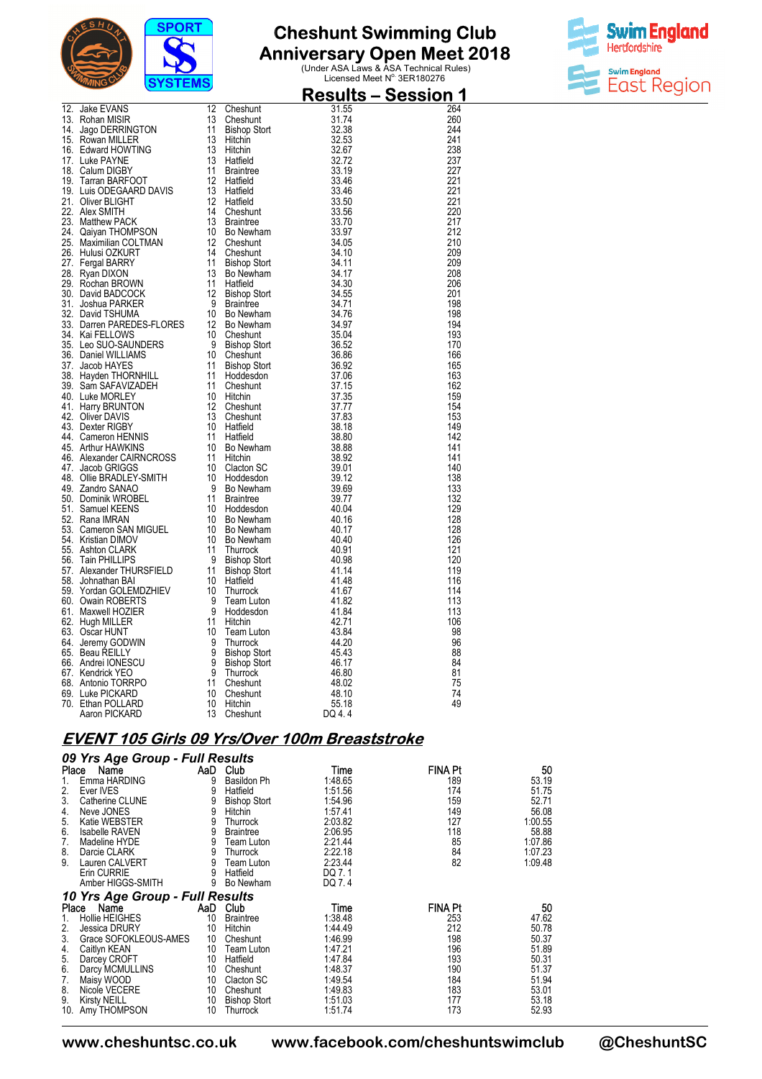



| $\sigma$ $\sigma$ $\sigma$ $\sigma$                                                                                                                                                                                            |    |                                                                                |                | <u> Results – Session 1</u> |
|--------------------------------------------------------------------------------------------------------------------------------------------------------------------------------------------------------------------------------|----|--------------------------------------------------------------------------------|----------------|-----------------------------|
| 12. Jake EVANIS 12. The MATEST 12. The Material of the MATEST 12. Jake EVANIS 13. Robert 11. Bishop Stort 15. Edward HOWINGTON 11. Bishop Stort 16. Edward HOWINGTON 11. Bishop Stort 17. Luke PAYNE 15. Hardhald 19. Taran BA |    |                                                                                | 31.55          | 264                         |
|                                                                                                                                                                                                                                |    | Uneshunt<br>Hitchin<br>Hitchin<br>Hatfield<br>Braintree<br>Hatfield<br>Hatfier | 31.74          | 260                         |
|                                                                                                                                                                                                                                |    |                                                                                | 32.38          | 244                         |
|                                                                                                                                                                                                                                |    |                                                                                | 32.53          | 241                         |
|                                                                                                                                                                                                                                |    |                                                                                | 32.67          | 238                         |
|                                                                                                                                                                                                                                |    |                                                                                | 32.72          | 237                         |
|                                                                                                                                                                                                                                |    |                                                                                | 33.19          | 227                         |
|                                                                                                                                                                                                                                |    |                                                                                | 33.46          | 221                         |
|                                                                                                                                                                                                                                |    |                                                                                | 33.46          | 221                         |
|                                                                                                                                                                                                                                |    |                                                                                | 33.50          | 221                         |
|                                                                                                                                                                                                                                |    |                                                                                | 33.56          | 220                         |
|                                                                                                                                                                                                                                |    |                                                                                | 33.70          | 217                         |
|                                                                                                                                                                                                                                |    |                                                                                | 33.97          | 212                         |
|                                                                                                                                                                                                                                |    |                                                                                | 34.05          | 210                         |
|                                                                                                                                                                                                                                |    |                                                                                | 34.10          | 209                         |
|                                                                                                                                                                                                                                |    |                                                                                | 34.11<br>34.17 | 209<br>208                  |
|                                                                                                                                                                                                                                |    |                                                                                | 34.30          | 206                         |
|                                                                                                                                                                                                                                |    |                                                                                | 34.55          | 201                         |
|                                                                                                                                                                                                                                |    |                                                                                | 34.71          | 198                         |
|                                                                                                                                                                                                                                |    |                                                                                | 34.76          | 198                         |
|                                                                                                                                                                                                                                |    |                                                                                | 34.97          | 194                         |
|                                                                                                                                                                                                                                |    |                                                                                | 35.04          | 193                         |
|                                                                                                                                                                                                                                |    |                                                                                | 36.52          | 170                         |
|                                                                                                                                                                                                                                |    |                                                                                | 36.86          | 166                         |
|                                                                                                                                                                                                                                |    |                                                                                | 36.92          | 165                         |
|                                                                                                                                                                                                                                |    |                                                                                | 37.06          | 163                         |
|                                                                                                                                                                                                                                |    |                                                                                | 37.15          | 162                         |
|                                                                                                                                                                                                                                |    |                                                                                | 37.35          | 159                         |
|                                                                                                                                                                                                                                |    |                                                                                | 37.77          | 154                         |
|                                                                                                                                                                                                                                |    |                                                                                | 37.83          | 153                         |
|                                                                                                                                                                                                                                |    |                                                                                | 38.18<br>38.80 | 149<br>142                  |
|                                                                                                                                                                                                                                |    |                                                                                | 38.88          | 141                         |
|                                                                                                                                                                                                                                |    |                                                                                | 38.92          | 141                         |
|                                                                                                                                                                                                                                |    |                                                                                | 39.01          | 140                         |
|                                                                                                                                                                                                                                |    |                                                                                | 39.12          | 138                         |
|                                                                                                                                                                                                                                |    |                                                                                | 39.69          | 133                         |
|                                                                                                                                                                                                                                |    |                                                                                | 39.77          | 132                         |
|                                                                                                                                                                                                                                |    |                                                                                | 40.04          | 129                         |
|                                                                                                                                                                                                                                |    |                                                                                | 40.16          | 128                         |
|                                                                                                                                                                                                                                |    |                                                                                | 40.17          | 128                         |
|                                                                                                                                                                                                                                |    |                                                                                | 40.40          | 126                         |
|                                                                                                                                                                                                                                |    |                                                                                | 40.91          | 121                         |
|                                                                                                                                                                                                                                |    |                                                                                | 40.98          | 120                         |
|                                                                                                                                                                                                                                |    |                                                                                | 41.14<br>41.48 | 119<br>116                  |
|                                                                                                                                                                                                                                |    |                                                                                | 41.67          | 114                         |
|                                                                                                                                                                                                                                |    |                                                                                | 41.82          | 113                         |
|                                                                                                                                                                                                                                |    |                                                                                | 41.84          | 113                         |
|                                                                                                                                                                                                                                |    |                                                                                | 42.71          | 106                         |
|                                                                                                                                                                                                                                |    |                                                                                | 43.84          | 98                          |
|                                                                                                                                                                                                                                |    |                                                                                | 44.20          | 96                          |
|                                                                                                                                                                                                                                |    | <b>Bishop Stort</b><br>Bishop Stort                                            | 45.43          | 88                          |
|                                                                                                                                                                                                                                |    |                                                                                | 46.17          | 84                          |
|                                                                                                                                                                                                                                |    |                                                                                | 46.80          | 81                          |
| 68. Antonio TORRPO                                                                                                                                                                                                             | 11 | Cheshunt                                                                       | 48.02          | 75                          |
| 69. Luke PICKARD                                                                                                                                                                                                               | 10 | Cheshunt                                                                       | 48.10          | 74                          |
| 70. Ethan POLLARD                                                                                                                                                                                                              | 10 | Hitchin                                                                        | 55.18          | 49                          |
| Aaron PICKARD                                                                                                                                                                                                                  | 13 | Cheshunt                                                                       | DQ 4.4         |                             |

#### **EVENT 105 Girls 09 Yrs/Over 100m Breaststroke Breaststroke**

|  |  | 09 Yrs Age Group - Full Results |
|--|--|---------------------------------|
|  |  |                                 |

| Place | Name                            | AaD | Club                | Time    | <b>FINA Pt</b> | 50      |
|-------|---------------------------------|-----|---------------------|---------|----------------|---------|
| 1.    | Emma HARDING                    | 9   | Basildon Ph         | 1:48.65 | 189            | 53.19   |
| 2.    | Ever IVES                       |     | Hatfield            | 1:51.56 | 174            | 51.75   |
| 3.    | Catherine CLUNE                 |     | <b>Bishop Stort</b> | 1:54.96 | 159            | 52.71   |
| 4.    | Neve JONES                      |     | Hitchin             | 1:57.41 | 149            | 56.08   |
| 5.    | Katie WEBSTER                   | 9   | Thurrock            | 2:03.82 | 127            | 1:00.55 |
| 6.    | <b>Isabelle RAVEN</b>           | 9   | <b>Braintree</b>    | 2:06.95 | 118            | 58.88   |
| 7.    | Madeline HYDE                   | 9   | Team Luton          | 2:21.44 | 85             | 1:07.86 |
| 8.    | Darcie CLARK                    | 9   | Thurrock            | 2:22.18 | 84             | 1:07.23 |
| 9.    | Lauren CALVERT                  | 9   | Team Luton          | 2:23.44 | 82             | 1:09.48 |
|       | Erin CURRIE                     | 9   | Hatfield            | DQ 7.1  |                |         |
|       | Amber HIGGS-SMITH               | 9   | Bo Newham           | DQ 7.4  |                |         |
|       | 10 Yrs Age Group - Full Results |     |                     |         |                |         |
| Place | Name                            | AaD | Club                | Time    | <b>FINA Pt</b> | 50      |
| 1.    | Hollie HEIGHES                  | 10  | <b>Braintree</b>    | 1:38.48 | 253            | 47.62   |
| 2.    | <b>Jessica DRURY</b>            | 10  | Hitchin             | 1:44.49 | 212            | 50.78   |
| 3.    | Grace SOFOKLEOUS-AMES           | 10  | Cheshunt            | 1:46.99 | 198            | 50.37   |
| 4.    | Caitlyn KEAN                    | 10  | Team Luton          | 1:47.21 | 196            | 51.89   |
| 5.    | Darcey CROFT                    | 10  | Hatfield            | 1:47.84 | 193            | 50.31   |
| 6.    | Darcy MCMULLINS                 | 10  | Cheshunt            | 1:48.37 | 190            | 51.37   |
| 7.    | Maisy WOOD                      | 10  | Clacton SC          | 1:49.54 | 184            | 51.94   |
| 8.    | Nicole VECERE                   | 10  | Cheshunt            | 1:49.83 | 183            | 53.01   |
| 9.    | <b>Kirsty NEILL</b>             | 10  | <b>Bishop Stort</b> | 1:51.03 | 177            | 53.18   |
| 10.   | Amy THOMPSON                    | 10  | Thurrock            | 1:51.74 | 173            | 52.93   |

**www.cheshuntsc.co.uk www.facebook.com/ch www.facebook.com/cheshuntswimclub eshuntswimclub @CheshuntSC**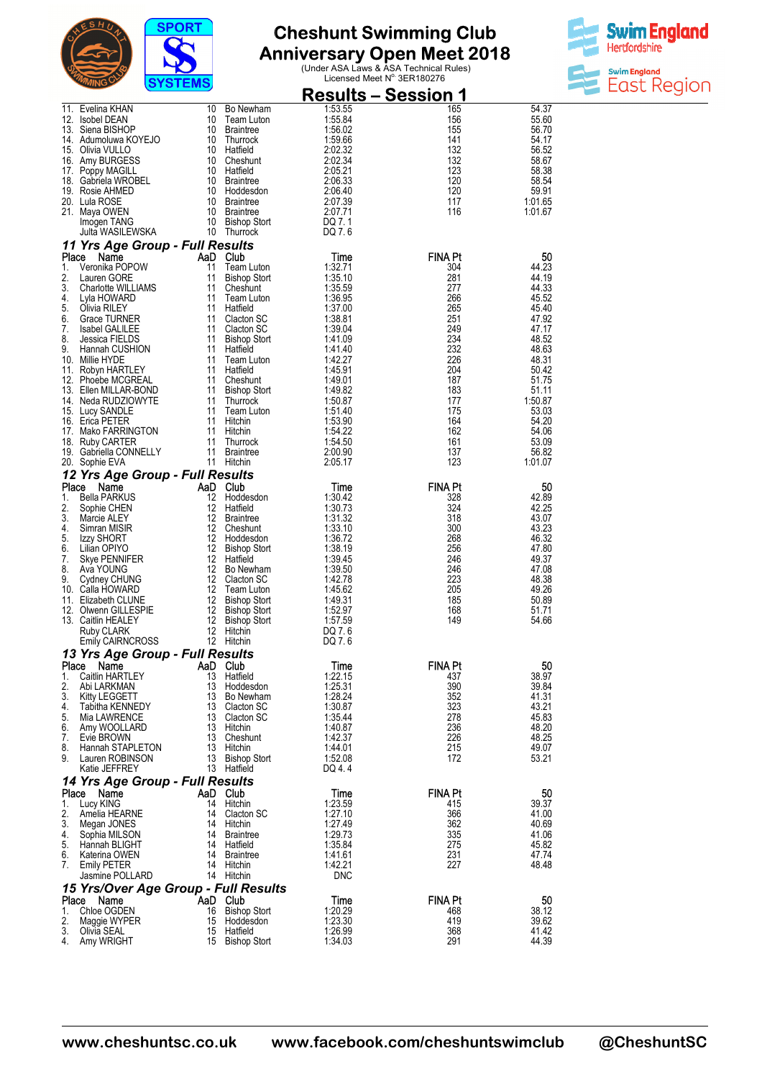



|          |                                                   | $191$ CMO |                                      | <b>Results – Session 1</b> |                |                    |
|----------|---------------------------------------------------|-----------|--------------------------------------|----------------------------|----------------|--------------------|
| 11.      | Evelina KHAN                                      | 10        | Bo Newham                            | 1:53.55                    | 165            | 54.37              |
| 13.      | 12. Isobel DEAN<br>Siena BISHOP                   | 10<br>10  | Team Luton<br><b>Braintree</b>       | 1:55.84<br>1:56.02         | 156<br>155     | 55.60<br>56.70     |
|          | 14. Adumoluwa KOYEJO                              | 10        | Thurrock                             | 1:59.66                    | 141            | 54.17              |
|          | 15. Olivia VULLO                                  | 10        | Hatfield                             | 2:02.32                    | 132            | 56.52              |
| 16.      | Amy BURGESS<br>17. Poppy MAGILL                   | 10<br>10  | Cheshunt<br>Hatfield                 | 2:02.34<br>2:05.21         | 132<br>123     | 58.67<br>58.38     |
| 18.      | Gabriela WROBEL                                   | 10        | <b>Braintree</b>                     | 2:06.33                    | 120            | 58.54              |
| 19.      | Rosie AHMED                                       | 10        | Hoddesdon                            | 2:06.40                    | 120            | 59.91              |
|          | 20. Lula ROSE<br>21. Maya OWEN                    | 10<br>10  | <b>Braintree</b><br><b>Braintree</b> | 2:07.39<br>2:07.71         | 117<br>116     | 1:01.65<br>1:01.67 |
|          | Imogen TANG                                       | 10        | <b>Bishop Stort</b>                  | DQ 7.1                     |                |                    |
|          | Julta WASILEWSKA                                  | 10        | Thurrock                             | DQ 7.6                     |                |                    |
| Place    | 11 Yrs Age Group - Full Results<br>Name           | AaD       | <b>Club</b>                          | Time                       | <b>FINA Pt</b> | 50                 |
| 1.       | Veronika POPOW                                    | 11        | Team Luton                           | 1:32.71                    | 304            | 44.23              |
| 2.       | Lauren GORE                                       | 11        | <b>Bishop Stort</b>                  | 1:35.10                    | 281            | 44.19              |
| 3.<br>4. | <b>Charlotte WILLIAMS</b><br>Lyla HOWARD          | 11<br>11  | Cheshunt<br>Team Luton               | 1:35.59<br>1:36.95         | 277<br>266     | 44.33<br>45.52     |
| 5.       | Olivia RILEY                                      | 11        | Hatfield                             | 1:37.00                    | 265            | 45.40              |
| 6.       | Grace TURNER                                      | 11        | Clacton SC                           | 1:38.81                    | 251            | 47.92              |
| 7.<br>8. | <b>Isabel GALILEE</b><br>Jessica FIELDS           | 11<br>11  | Clacton SC<br><b>Bishop Stort</b>    | 1:39.04<br>1:41.09         | 249<br>234     | 47.17<br>48.52     |
| 9.       | Hannah CUSHION                                    | 11        | Hatfield                             | 1:41.40                    | 232            | 48.63              |
|          | 10. Millie HYDE                                   | 11        | Team Luton                           | 1:42.27                    | 226            | 48.31              |
|          | 11. Robyn HARTLEY                                 | 11<br>11  | Hatfield                             | 1:45.91<br>1:49.01         | 204<br>187     | 50.42              |
| 12.      | Phoebe MCGREAL<br>13. Ellen MILLAR-BOND           | 11        | Cheshunt<br><b>Bishop Stort</b>      | 1:49.82                    | 183            | 51.75<br>51.11     |
|          | 14. Neda RUDZIOWYTE                               | 11        | Thurrock                             | 1:50.87                    | 177            | 1:50.87            |
|          | 15. Lucy SANDLE                                   | 11        | Team Luton                           | 1:51.40                    | 175            | 53.03              |
|          | 16. Erica PETER<br>17. Mako FARRINGTON            | 11<br>11  | Hitchin<br>Hitchin                   | 1:53.90<br>1:54.22         | 164<br>162     | 54.20<br>54.06     |
| 18.      | Ruby CARTER                                       | 11        | Thurrock                             | 1:54.50                    | 161            | 53.09              |
| 19.      | Gabriella CONNELLY                                | 11        | <b>Braintree</b>                     | 2:00.90                    | 137            | 56.82              |
|          | 20. Sophie EVA<br>12 Yrs Age Group - Full Results |           | 11 Hitchin                           | 2:05.17                    | 123            | 1:01.07            |
| Place    | Name                                              |           | AaD Club                             | Time                       | <b>FINA Pt</b> | 50                 |
| 1.       | <b>Bella PARKUS</b>                               | 12        | Hoddesdon                            | 1:30.42                    | 328            | 42.89              |
| 2.<br>3. | Sophie CHEN<br>Marcie ALEY                        | 12<br>12  | Hatfield<br><b>Braintree</b>         | 1:30.73<br>1:31.32         | 324<br>318     | 42.25<br>43.07     |
| 4.       | Simran MISIR                                      | 12        | Cheshunt                             | 1:33.10                    | 300            | 43.23              |
| 5.       | Izzy SHORT                                        | 12        | Hoddesdon                            | 1:36.72                    | 268            | 46.32              |
| 6.<br>7. | Lilian OPIYO<br>Skye PENNIFER                     | 12<br>12  | <b>Bishop Stort</b><br>Hatfield      | 1:38.19<br>1:39.45         | 256<br>246     | 47.80<br>49.37     |
| 8.       | Ava YOUNG                                         | 12        | Bo Newham                            | 1:39.50                    | 246            | 47.08              |
| 9.       | Cydney CHUNG                                      | 12        | Clacton SC                           | 1:42.78                    | 223            | 48.38              |
|          | 10. Calla HOWARD<br>11. Elizabeth CLUNE           | 12<br>12  | Team Luton<br><b>Bishop Stort</b>    | 1:45.62<br>1:49.31         | 205<br>185     | 49.26<br>50.89     |
|          | 12. Olwenn GILLESPIE                              | 12        | <b>Bishop Stort</b>                  | 1:52.97                    | 168            | 51.71              |
|          | 13. Caitlin HEALEY                                | 12        | <b>Bishop Stort</b>                  | 1:57.59                    | 149            | 54.66              |
|          | Ruby CLARK<br><b>Emily CAIRNCROSS</b>             | 12        | Hitchin<br>12 Hitchin                | DQ 7.6<br>DQ 7.6           |                |                    |
|          | 13 Yrs Age Group - Full Results                   |           |                                      |                            |                |                    |
| Place    | Name                                              |           | AaD Club                             | Time                       | <b>FINA Pt</b> | 50                 |
| 1.<br>2. | Caitlin HARTLEY<br>Abi LARKMAN                    | 13<br>13  | Hatfield<br>Hoddesdon                | 1:22.15<br>1:25.31         | 437<br>390     | 38.97<br>39.84     |
| 3.       | <b>Kitty LEGGETT</b>                              | 13        | Bo Newham                            | 1:28.24                    | 352            | 41.31              |
| 4.       | Tabitha KENNEDY                                   | 13        | Clacton SC                           | 1:30.87                    | 323            | 43.21              |
| 5.<br>6. | Mia LAWRENCE<br>Amy WOOLLARD                      | 13<br>13  | Clacton SC<br>Hitchin                | 1:35.44<br>1:40.87         | 278<br>236     | 45.83<br>48.20     |
| 7.       | Evie BROWN                                        | 13        | Cheshunt                             | 1:42.37                    | 226            | 48.25              |
| 8.       | Hannah STAPLETON                                  | 13        | Hitchin                              | 1:44.01                    | 215            | 49.07              |
| 9.       | Lauren ROBINSON<br>Katie JEFFREY                  | 13        | <b>Bishop Stort</b><br>13 Hatfield   | 1:52.08<br>DQ 4.4          | 172            | 53.21              |
|          | 14 Yrs Age Group - Full Results                   |           |                                      |                            |                |                    |
|          | Place Name                                        |           | AaD Club                             | Time                       | <b>FINA Pt</b> | 50                 |
| 1.<br>2. | Lucy KING<br>Amelia HEARNE                        | 14<br>14  | Hitchin<br>Clacton SC                | 1:23.59<br>1:27.10         | 415<br>366     | 39.37<br>41.00     |
| 3.       | Megan JONES                                       | 14        | Hitchin                              | 1:27.49                    | 362            | 40.69              |
| 4.       | Sophia MILSON                                     | 14        | Braintree                            | 1:29.73                    | 335            | 41.06              |
| 5.<br>6. | Hannah BLIGHT<br>Katerina OWEN                    | 14<br>14  | Hatfield<br>Braintree                | 1:35.84<br>1.41.61         | 275<br>231     | 45.82<br>47.74     |
| 7.       | <b>Emily PETER</b>                                | 14        | Hitchin                              | 1:42.21                    | 227            | 48.48              |
|          | Jasmine POLLARD                                   |           | 14 Hitchin                           | <b>DNC</b>                 |                |                    |
| Place    | 15 Yrs/Over Age Group - Full Results<br>Name      |           | AaD Club                             | Time                       | <b>FINA Pt</b> | 50                 |
| 1.       | Chloe OGDEN                                       | 16        | <b>Bishop Stort</b>                  | 1:20.29                    | 468            | 38.12              |
| 2.       | Maggie WYPER                                      | 15        | Hoddesdon                            | 1:23.30                    | 419            | 39.62              |
| 3.<br>4. | Olivia SEAL<br>Amy WRIGHT                         | 15        | Hatfield<br>15 Bishop Stort          | 1:26.99<br>1:34.03         | 368<br>291     | 41.42<br>44.39     |
|          |                                                   |           |                                      |                            |                |                    |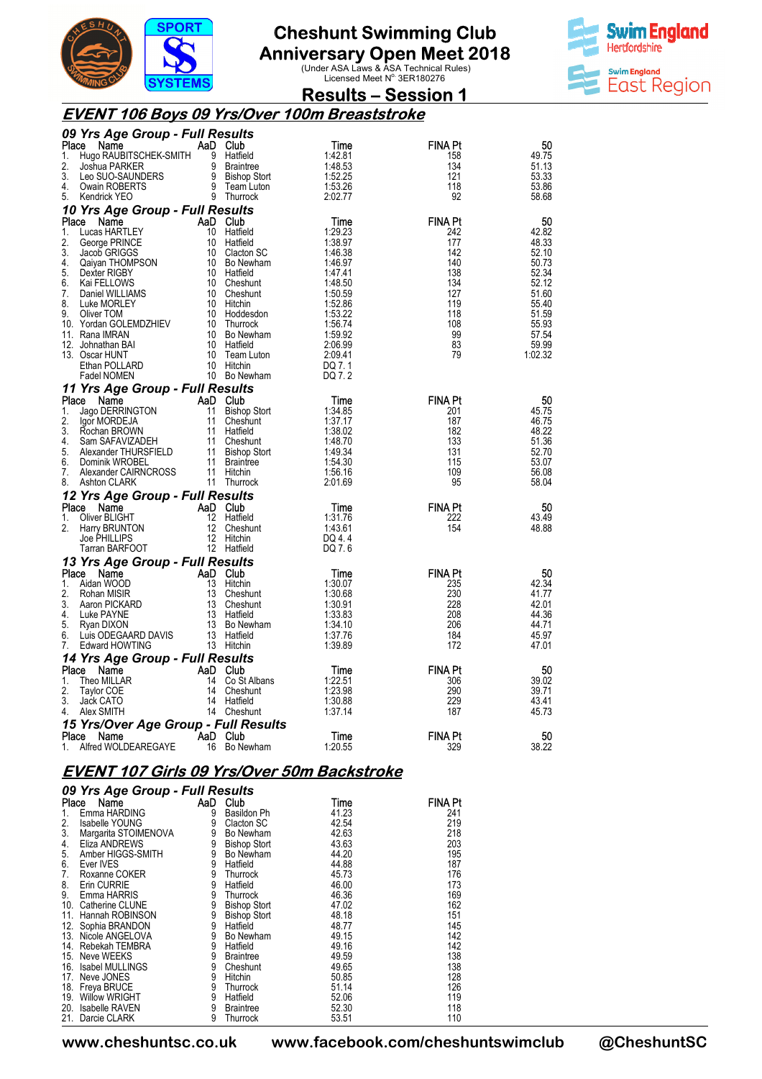

**Anniversary Open Meet 2018**<br>Under ASA Laws & ASA Technical Rules)<br>Licensed Meet N<sup>o.</sup> 3ER180276



**Results – Session 1** 

#### **EVENT 106 Boys 09 Yrs/Over 100m Breaststroke**

| 09 Yrs Age Group - Full Results          |                   |                            |                    |                |                |
|------------------------------------------|-------------------|----------------------------|--------------------|----------------|----------------|
| Place<br>Name                            | AaD Club          |                            | Time               | FINA Pt        | 50             |
| Hugo RAUBITSCHEK-SMITH<br>1.             |                   | 9 Hatfield                 | 1:42.81            | 158            | 49.75          |
| 2.<br>Joshua PARKERS<br>Leo SUO-SAUNDERS |                   | 9 Braintree                | 1:48.53            | 134            | 51.13          |
| 3.                                       |                   | 9 Bishop Stort             | 1:52.25            | 121            | 53.33          |
| 4.                                       |                   | 9 Team Luton               | 1:53.26            | 118            | 53.86          |
| 5.<br>Kendrick YEO                       |                   | 9 Thurrock                 | 2:02.77            | 92             | 58.68          |
| 10 Yrs Age Group - Full Results          |                   |                            |                    |                |                |
| Place<br>Name                            | AaD Club          |                            | Time               | <b>FINA Pt</b> | 50             |
| Lucas HARTLEY<br>1.                      |                   | 10 Hatfield                | 1:29.23            | 242            | 42.82          |
| 2.<br>George PRINCE                      |                   | 10 Hatfield                | 1:38.97            | 177            | 48.33          |
| 3.<br>Jacob GRIGGS                       |                   | 10 Clacton SC              | 1:46.38            | 142            | 52.10          |
| 4.<br>Qaiyan THOMPSON                    |                   | 10 Bo Newham               | 1:46.97            | 140            | 50.73          |
| 5.<br>Dexter RIGBY                       |                   | 10 Hatfield                | 1:47.41            | 138            | 52.34          |
| 6.<br>Kai FELLOWS                        |                   | 10 Cheshunt                | 1:48.50            | 134            | 52.12          |
| 7.<br>Daniel WILLIAMS                    |                   | 10 Cheshunt                | 1:50.59            | 127            | 51.60          |
| 8.<br>Luke MORLEY                        |                   | 10 Hitchin                 | 1:52.86            | 119            | 55.40          |
| 9.<br>Oliver TOM                         |                   | 10 Hoddesdon               | 1:53.22            | 118            | 51.59          |
| 10. Yordan GOLEMDZHIEV                   |                   | 10 Thurrock                | 1:56.74            | 108            | 55.93          |
| 11. Rana IMRAN                           |                   | 10 Bo Newham               | 1:59.92            | 99             | 57.54          |
| 12. Johnathan BAI                        |                   | 10 Hatfield                | 2:06.99            | 83             | 59.99          |
| 13. Oscar HUNT                           |                   | 10 Team Luton              | 2:09.41            | 79             | 1:02.32        |
| Ethan POLLARD                            |                   | 10 Hitchin                 | DQ 7.1             |                |                |
| Fadel NOMEN                              |                   | 10 Bo Newham               | DQ 7.2             |                |                |
| 11 Yrs Age Group - Full Results          |                   |                            |                    |                |                |
| Place<br>Name                            | AaD Club          |                            | Time               | <b>FINA Pt</b> | 50             |
| Jago DERRINGTON<br>1.                    |                   | 11 Bishop Stort            | 1:34.85            | 201            | 45.75          |
| 2.<br>Igor MORDEJA                       | 11                | Cheshunt                   | 1:37.17            | 187            | 46.75          |
| 3.<br>Rochan BROWN                       |                   | 11 Hatfield                | 1:38.02            | 182            | 48.22          |
| 4.<br>Sam SAFAVIZADEH                    |                   | 11 Cheshunt                | 1:48.70            | 133            | 51.36          |
| 5.<br>Alexander THURSFIELD               |                   | 11 Bishop Stort            | 1:49.34            | 131            | 52.70          |
| 6.<br>Dominik WROBEL                     |                   | 11 Braintree               | 1:54.30            | 115            | 53.07          |
| 7.<br>Alexander CAIRNCROSS               |                   | 11 Hitchin                 | 1:56.16            | 109            | 56.08          |
| 8.<br>Ashton CLARK                       |                   | 11 Thurrock                | 2:01.69            | 95             | 58.04          |
| 12 Yrs Age Group - Full Results          |                   |                            |                    |                |                |
| Place<br>Name                            | AaD Club          |                            | Time               | <b>FINA Pt</b> | 50             |
| 1.<br>Oliver BLIGHT                      | 12                | Hatfield                   | 1:31.76            | 222            | 43.49          |
| 2.<br>Harry BRUNTON                      | $12 \overline{ }$ | Cheshunt                   | 1:43.61            | 154            | 48.88          |
| Joe PHILLIPS                             | 12                | Hitchin                    | DQ 4.4             |                |                |
| Tarran BARFOOT                           |                   | 12 Hatfield                | DQ 7.6             |                |                |
|                                          |                   |                            |                    |                |                |
| 13 Yrs Age Group - Full Results          |                   |                            |                    |                |                |
| Place<br>Name<br>1.<br>Aidan WOOD        | AaD Club<br>13    | Hitchin                    | Time               | <b>FINA Pt</b> | 50<br>42.34    |
| 2.                                       |                   | 13 Cheshunt                | 1:30.07<br>1:30.68 | 235<br>230     | 41.77          |
| Rohan MISIR<br>3.<br>Aaron PICKARD       | 13                |                            | 1:30.91            | 228            | 42.01          |
| 4.<br>Luke PAYNE                         |                   | Cheshunt<br>13 Hatfield    | 1:33.83            | 208            | 44.36          |
| 5.                                       |                   | 13 Bo Newham               | 1:34.10            | 206            | 44.71          |
| Ryan DIXON<br>Luis ODEGAARD DAVIS<br>6.  |                   | 13 Hatfield                | 1:37.76            | 184            | 45.97          |
| 7.<br>Edward HOWTING                     |                   | 13 Hitchin                 | 1:39.89            | 172            | 47.01          |
|                                          |                   |                            |                    |                |                |
| 14 Yrs Age Group - Full Results          |                   |                            |                    |                |                |
| Place<br>Name                            |                   | AaD Club                   | Time               | <b>FINA Pt</b> | 50             |
| Theo MILLAR<br>1.                        | 14                | Co St Albans               | 1:22.51            | 306            | 39.02          |
| 2.<br>Taylor COE                         |                   | 14 Cheshunt                | 1:23.98            | 290<br>229     | 39.71          |
| 3.<br>Jack CATO<br>4.<br>Alex SMITH      |                   | 14 Hatfield<br>14 Cheshunt | 1:30.88<br>1:37.14 | 187            | 43.41<br>45.73 |
|                                          |                   |                            |                    |                |                |
| 15 Yrs/Over Age Group - Full Results     |                   |                            |                    |                |                |
| Place<br>Name                            | AaD Club          |                            | Time               | <b>FINA Pt</b> | 50             |
| Alfred WOLDEAREGAYE<br>1.                |                   | 16 Bo Newham               | 1:20.55            | 329            | 38.22          |

#### **EVENT 107 Girls 09 Yrs/Over 50m Backstroke**

|                     | 09 Yrs Age Group - Full Results |                |                     |       |                |  |
|---------------------|---------------------------------|----------------|---------------------|-------|----------------|--|
| Place               | Name                            | AaD            | Club                | Time  | <b>FINA Pt</b> |  |
| 1.                  | Emma HARDING                    | 9              | Basildon Ph         | 41.23 | 241            |  |
| 2.                  | Isabelle YOUNG                  | 9              | Clacton SC          | 42.54 | 219            |  |
|                     | Margarita STOIMENOVA            | 9<br>9         | Bo Newham           | 42.63 | 218            |  |
|                     | Eliza ANDREWS                   |                | <b>Bishop Stort</b> | 43.63 | 203            |  |
| $\frac{3}{4}$<br>5. | Amber HIGGS-SMITH               | $\overline{9}$ | Bo Newham           | 44.20 | 195            |  |
| 6.                  | Ever IVES                       | 9              | Hatfield            | 44.88 | 187            |  |
| 7.                  | Roxanne COKER                   | 9              | Thurrock            | 45.73 | 176            |  |
| 8.                  | Erin CURRIE                     | 9<br>9         | Hatfield            | 46.00 | 173            |  |
| 9.                  | Emma HARRIS                     |                | Thurrock            | 46.36 | 169            |  |
|                     | 10. Catherine CLUNE             | 9              | <b>Bishop Stort</b> | 47.02 | 162            |  |
|                     | 11. Hannah ROBINSON             | 9              | <b>Bishop Stort</b> | 48.18 | 151            |  |
| 12.                 | Sophia BRANDON                  | 9              | Hatfield            | 48.77 | 145            |  |
|                     | 13. Nicole ANGELOVA             | $\overline{9}$ | Bo Newham           | 49.15 | 142            |  |
|                     | 14. Rebekah TEMBRA              | 9              | Hatfield            | 49.16 | 142            |  |
|                     | 15. Neve WEEKS                  | 9              | <b>Braintree</b>    | 49.59 | 138            |  |
| 16.                 | Isabel MULLINGS                 | 9              | Cheshunt            | 49.65 | 138            |  |
| 17.                 | Neve JONES                      | 9              | Hitchin             | 50.85 | 128            |  |
|                     | 18. Freya BRUCE                 | 9              | Thurrock            | 51.14 | 126            |  |
| 19.                 | <b>Willow WRIGHT</b>            | 9              | Hatfield            | 52.06 | 119            |  |
| 20.                 | <b>Isabelle RAVEN</b>           | 9              | <b>Braintree</b>    | 52.30 | 118            |  |
|                     | 21. Darcie CLARK                | 9              | Thurrock            | 53.51 | 110            |  |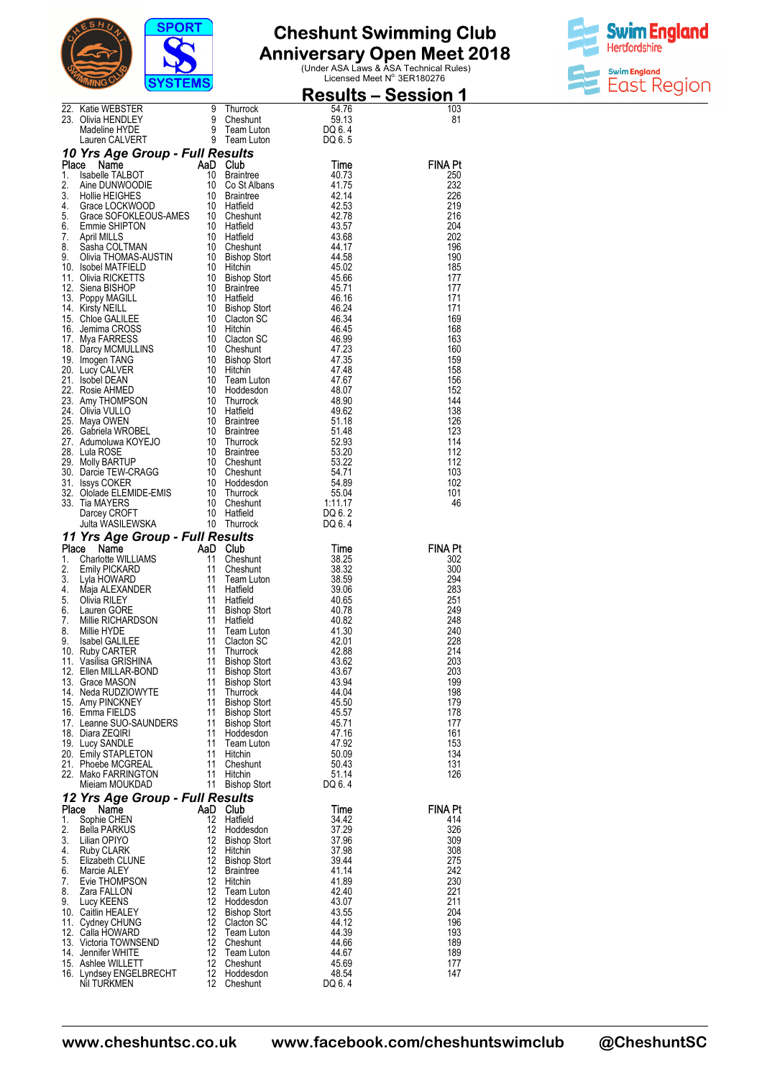



|             | ,,,,,,,,,,<br><b>PORTER SERVED BY AND RESERVED BY A SURVED BY A SURVED BY A SURVEY AND RESPONSIVE A SURVEY OF A SURVED BY A SURVED BY A SURVED SURVED ON A SURVED SURVED ON A SURVED SURVED ON A SURVED ON A SURVED ON A SURVED ON A SURVED ON</b>                                                |           |                                           |                                                                                            | <u> Results – Session 1</u> |
|-------------|---------------------------------------------------------------------------------------------------------------------------------------------------------------------------------------------------------------------------------------------------------------------------------------------------|-----------|-------------------------------------------|--------------------------------------------------------------------------------------------|-----------------------------|
|             |                                                                                                                                                                                                                                                                                                   |           |                                           | 54.76                                                                                      | 103                         |
|             |                                                                                                                                                                                                                                                                                                   |           |                                           | 59.13<br>DQ 6.4                                                                            | 81                          |
|             |                                                                                                                                                                                                                                                                                                   |           |                                           | DQ 6.5                                                                                     |                             |
|             | 10 Yrs Age Group - Full Results                                                                                                                                                                                                                                                                   |           |                                           |                                                                                            |                             |
|             |                                                                                                                                                                                                                                                                                                   |           |                                           | Time<br>40.73                                                                              | <b>FINA Pt</b><br>250       |
|             |                                                                                                                                                                                                                                                                                                   |           |                                           | 41.75                                                                                      | 232                         |
|             |                                                                                                                                                                                                                                                                                                   |           |                                           | 42.14<br>42.53                                                                             | 226<br>219                  |
|             |                                                                                                                                                                                                                                                                                                   |           |                                           | 42.78                                                                                      | 216                         |
|             |                                                                                                                                                                                                                                                                                                   |           |                                           | 43.57                                                                                      | 204                         |
|             |                                                                                                                                                                                                                                                                                                   |           |                                           | 43.68<br>44.17                                                                             | 202<br>196                  |
|             |                                                                                                                                                                                                                                                                                                   |           |                                           | 44.58                                                                                      | 190                         |
|             |                                                                                                                                                                                                                                                                                                   |           |                                           | 45.02<br>45.66                                                                             | 185<br>177                  |
|             |                                                                                                                                                                                                                                                                                                   |           |                                           | 45.71                                                                                      | 177                         |
|             |                                                                                                                                                                                                                                                                                                   |           |                                           | 46.16<br>46.24                                                                             | 171<br>171                  |
|             |                                                                                                                                                                                                                                                                                                   |           |                                           | 46.34                                                                                      | 169                         |
|             |                                                                                                                                                                                                                                                                                                   |           |                                           | 46.45<br>46.99                                                                             | 168<br>163                  |
|             |                                                                                                                                                                                                                                                                                                   |           |                                           | 47.23                                                                                      | 160                         |
|             |                                                                                                                                                                                                                                                                                                   |           | 10 Bishop Stort<br><sup>10 Hitchin</sup>  | 47.35                                                                                      | 159                         |
|             |                                                                                                                                                                                                                                                                                                   |           |                                           | 47.48<br>47.67                                                                             | 158<br>156                  |
|             |                                                                                                                                                                                                                                                                                                   |           |                                           | 48.07                                                                                      | 152                         |
|             |                                                                                                                                                                                                                                                                                                   |           |                                           | 48.90<br>49.62                                                                             | 144<br>138                  |
|             |                                                                                                                                                                                                                                                                                                   |           |                                           | 51.18                                                                                      | 126                         |
|             |                                                                                                                                                                                                                                                                                                   |           |                                           | 51.48                                                                                      | 123<br>114                  |
|             |                                                                                                                                                                                                                                                                                                   |           |                                           |                                                                                            | 112                         |
|             |                                                                                                                                                                                                                                                                                                   |           |                                           | $\begin{array}{r} 51.48 \\ 52.93 \\ 53.20 \\ 53.22 \\ 54.71 \\ 54.89 \\ 55.04 \end{array}$ | 112<br>103                  |
|             |                                                                                                                                                                                                                                                                                                   |           |                                           |                                                                                            | 102                         |
|             |                                                                                                                                                                                                                                                                                                   |           |                                           | 55.04                                                                                      | 101                         |
|             |                                                                                                                                                                                                                                                                                                   |           |                                           | 1:11.17<br>DQ 6.2                                                                          | 46                          |
|             |                                                                                                                                                                                                                                                                                                   |           |                                           | DQ 6.4                                                                                     |                             |
| Place       | Lauren CALVERT<br>10 <b>Yrs Age Group - Full Results<br/> 10 Yrs Age Group - Full Results<br/> 1. Isabelle TALBOT 10 Dataintee<br/> 3. Atolie HEIGHES 10 Dataintee<br/> 4. Grace LOCKWOOD<br/> 5. Atom DUNWOODIE 10 Dataintee<br/> 4. Grace LOCKWOOD 10 Ha</b><br>11 Yrs Age Group - Full Results |           | India<br><b>Sults</b><br>Club<br>Cheshunt | <b>Time</b>                                                                                | <b>FINA Pt</b>              |
| 1.          | <b>The Summann Charles Constant Charles Charles Charlotte WILLIAMS</b><br>Charlotte WILLIAMS<br>Charlotte WILLIAMS<br>Lyla HOWARD<br>Maja ALEXANDER<br>Charlotte Millie HYDE<br>Clivia RILEY<br>Lauren GORE<br>Lauren GORE<br>Millie HYDE<br>Millie HYD                                           |           |                                           | 38.25                                                                                      | 302                         |
| 2.<br>3.    |                                                                                                                                                                                                                                                                                                   |           |                                           | 38.32<br>38.59                                                                             | 300<br>294                  |
| 4.          |                                                                                                                                                                                                                                                                                                   |           | Team Luton<br>Hatfield                    | 39.06                                                                                      | 283                         |
| 5.          |                                                                                                                                                                                                                                                                                                   |           | Hatfield                                  | 40.65                                                                                      | 251                         |
| 6.<br>7.    |                                                                                                                                                                                                                                                                                                   |           | <b>Bishop Stort</b><br>Hatfield           | 40.78<br>40.82                                                                             | 249<br>248                  |
| 8.          |                                                                                                                                                                                                                                                                                                   |           | Team Luton                                | 41.30                                                                                      | 240                         |
| 9.          | 10. Ruby CARTER                                                                                                                                                                                                                                                                                   |           | Clacton SC<br>Thurrock                    | 42.01<br>42.88                                                                             | 228<br>214                  |
|             | 11. Vasilisa GRISHINA                                                                                                                                                                                                                                                                             |           | 11 Bishop Stort                           | 43.62                                                                                      | 203                         |
|             | 12. Ellen MILLAR-BOND<br>13. Grace MASON                                                                                                                                                                                                                                                          | 11<br>11  | <b>Bishop Stort</b><br>Bishop Stort       | 43.67<br>43.94                                                                             | 203<br>199                  |
|             | 14. Neda RUDZIOWYTE                                                                                                                                                                                                                                                                               | 11        | Thurrock                                  | 44.04                                                                                      | 198                         |
|             | 15. Amy PINCKNEY<br>16. Emma FIELDS                                                                                                                                                                                                                                                               | 11<br>11  | <b>Bishop Stort</b>                       | 45.50<br>45.57                                                                             | 179<br>178                  |
|             | 17. Leanne SUO-SAUNDERS                                                                                                                                                                                                                                                                           | 11        | Bishop Stort<br><b>Bishop Stort</b>       | 45.71                                                                                      | 177                         |
|             | 18. Diara ZEQIRI                                                                                                                                                                                                                                                                                  | 11<br>-11 | Hoddesdon                                 | 47.16                                                                                      | 161                         |
|             | 19. Lucy SANDLE<br>20. Emily STAPLETON                                                                                                                                                                                                                                                            | 11        | Team Luton<br>Hitchin                     | 47.92<br>50.09                                                                             | 153<br>134                  |
|             | 21. Phoebe MCGREAL                                                                                                                                                                                                                                                                                |           | 11 Cheshunt                               | 50.43                                                                                      | 131                         |
|             | 22. Mako FARRINGTON<br>Mieiam MOUKDAD                                                                                                                                                                                                                                                             |           | 11 Hitchin<br>11 Bishop Stort             | 51.14<br>DQ 6.4                                                                            | 126                         |
|             | 12 Yrs Age Group - Full Results                                                                                                                                                                                                                                                                   |           |                                           |                                                                                            |                             |
| Place<br>1. | Name<br>Sophie CHEN                                                                                                                                                                                                                                                                               | 12        | AaD Club<br>Hatfield                      | Time<br>34.42                                                                              | <b>FINA Pt</b><br>414       |
| 2.          |                                                                                                                                                                                                                                                                                                   | 12        | Hoddesdon                                 | 37.29                                                                                      | 326                         |
|             | <b>Bella PARKUS</b>                                                                                                                                                                                                                                                                               |           |                                           |                                                                                            |                             |
| 3.          | Lilian OPIYO                                                                                                                                                                                                                                                                                      | 12        | Bishop Stort                              | 37.96                                                                                      | 309                         |
| 5.          | 4. Ruby CLARK<br>Elizabeth CLUNE                                                                                                                                                                                                                                                                  | 12<br>12  | Hitchin<br>Bishop Stort                   | 37.98<br>39.44                                                                             | 308<br>275                  |
| 6.          | Marcie ALEY                                                                                                                                                                                                                                                                                       | 12        | <b>Braintree</b>                          | 41.14                                                                                      | 242                         |
| 7.<br>8.    | Evie THOMPSON<br>Zara FALLON                                                                                                                                                                                                                                                                      | 12<br>12  | Hitchin<br>Team Luton                     | 41.89<br>42.40                                                                             | 230<br>221                  |
|             | 9. Lucy KEENS                                                                                                                                                                                                                                                                                     | 12        | Hoddesdon                                 | 43.07                                                                                      | 211                         |
|             | 10. Caitlin HEALEY                                                                                                                                                                                                                                                                                | 12        | <b>Bishop Stort</b>                       | 43.55                                                                                      | 204                         |
|             | 11. Cydney CHUNG<br>12. Calla HOWARD                                                                                                                                                                                                                                                              | 12<br>12  | Clacton SC<br>Team Luton                  | 44.12<br>44.39                                                                             | 196<br>193                  |
|             | 13. Victoria TOWNSEND                                                                                                                                                                                                                                                                             | 12        | Cheshunt                                  | 44.66                                                                                      | 189                         |
|             | 14. Jennifer WHITE<br>15. Ashlee WILLETT<br>16. Lyndsey ENGELBRECHT                                                                                                                                                                                                                               | 12        | Team Luton<br>12 Cheshunt<br>12 Hoddesdon | 44.67<br>45.69<br>48.54                                                                    | 189<br>177<br>147           |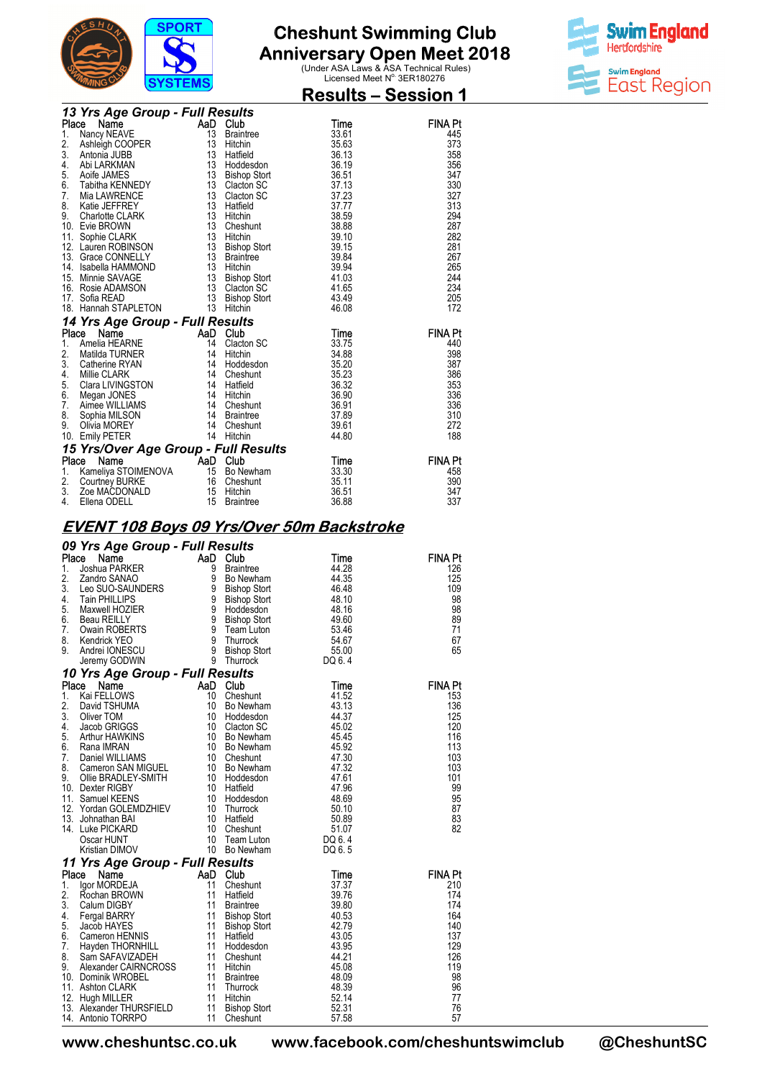

**Results – Session 1** 



| 13 Yrs Age Group - Full Results |                                                                                                                                                      |                                                          |                       |       |                |  |
|---------------------------------|------------------------------------------------------------------------------------------------------------------------------------------------------|----------------------------------------------------------|-----------------------|-------|----------------|--|
| Place                           | Name<br><b>Ce Name</b><br>Nancy NEAVE<br>Ashleigh COOPER<br>Abi LARKMAN<br>Abi LARKMAN<br>Aoife JAMES                                                | AaD Club                                                 |                       | Time  | <b>FINA Pt</b> |  |
| 1.                              |                                                                                                                                                      | 13                                                       | <b>Braintree</b>      | 33.61 | 445            |  |
| 2.                              |                                                                                                                                                      | 13                                                       | Hitchin               | 35.63 | 373            |  |
| 3.                              |                                                                                                                                                      | 13<br>$\begin{array}{c} 12 \\ 13 \\ 12 \\ 4 \end{array}$ | Hatfield              | 36.13 | 358            |  |
| 4.                              |                                                                                                                                                      |                                                          | Hoddesdon             | 36.19 | 356            |  |
| 5.                              |                                                                                                                                                      |                                                          | <b>Bishop Stort</b>   | 36.51 | 347            |  |
| 6.                              | Tabitha KENNEDY                                                                                                                                      |                                                          | Clacton SC            | 37.13 | 330            |  |
| 7.                              | Mia LAWRENCE                                                                                                                                         | $\overline{13}$                                          | Clacton SC            | 37.23 | 327            |  |
| 8.                              | Katie JEFFREY                                                                                                                                        | $\overline{13}$                                          | Hatfield              | 37.77 | 313            |  |
| 9.                              | <b>Charlotte CLARK</b>                                                                                                                               | $\sim$ 13                                                | Hitchin               | 38.59 | 294            |  |
|                                 | 10. Evie BROWN                                                                                                                                       | 13                                                       | Cheshunt              | 38.88 | 287            |  |
| 11.                             | Sophie CLARK                                                                                                                                         | 13                                                       | Hitchin               | 39.10 | 282            |  |
|                                 |                                                                                                                                                      |                                                          | Bishop Stort          | 39.15 | 281            |  |
|                                 |                                                                                                                                                      |                                                          | Braintree             | 39.84 | 267            |  |
|                                 |                                                                                                                                                      |                                                          | Hitchin               | 39.94 | 265            |  |
|                                 | 12. Lauren ROBINSON<br>13. Grace CONNELLY<br>13. Grace CONNELLY<br>14. Isabella HAMMOND<br>13. T. Sofia READ<br>17. Sofia READ<br>13. 13. Sofia READ |                                                          | <b>Bishop Stort</b>   | 41.03 | 244            |  |
|                                 |                                                                                                                                                      |                                                          | Clacton SC            | 41.65 | 234            |  |
|                                 |                                                                                                                                                      |                                                          | <b>Bishop Stort</b>   | 43.49 | 205            |  |
|                                 | 18. Hannah STAPLETON                                                                                                                                 | 13                                                       | Hitchin               | 46.08 | 172            |  |
|                                 | 14 Yrs Age Group - Full Results                                                                                                                      |                                                          |                       |       |                |  |
| Place                           | Name                                                                                                                                                 | AaD                                                      | Club                  | Time  | <b>FINA Pt</b> |  |
| 1.                              | <b>:e Name</b><br>Amelia HEARNE                                                                                                                      | 14                                                       | Clacton SC            | 33.75 | 440            |  |
| 2.                              | Matilda TURNER                                                                                                                                       | 14                                                       | Hitchin               | 34.88 | 398            |  |
| 3.                              | Catherine RYAN                                                                                                                                       | $\frac{14}{14}$<br>$\frac{14}{14}$                       | Hoddesdon             | 35.20 | 387            |  |
| 4.                              | Millie CLARK                                                                                                                                         |                                                          | Cheshunt              | 35.23 | 386            |  |
| 5.                              | Clara LIVINGSTON<br>Megan JONES                                                                                                                      |                                                          | Hatfield              | 36.32 | 353            |  |
| 6.                              | Megan JONES                                                                                                                                          |                                                          | Hitchin               | 36.90 | 336            |  |
| 7.                              | Aimee WILLIAMS                                                                                                                                       | 14                                                       | Cheshunt<br>Braintree | 36.91 | 336            |  |
| 8.                              | Sophia MILSON<br>Olivia MOREY                                                                                                                        | 14                                                       |                       | 37.89 | 310            |  |
| 9.                              | Olivia MOREY                                                                                                                                         | -14                                                      | Cheshunt              | 39.61 | 272            |  |
|                                 | 10. Emily PETER                                                                                                                                      | 14                                                       | Hitchin               | 44.80 | 188            |  |
|                                 | 15 Yrs/Over Age Group - Full Results                                                                                                                 |                                                          |                       |       |                |  |
|                                 | Place<br>Ce Name<br>Kameliya STOIMENOVA<br>Courtney BURKE<br>The Store MACDONALD<br>The Store MACDONALD<br>The Hitchin<br>The Hitchin<br>The Hitchin |                                                          |                       | Time  | <b>FINA Pt</b> |  |
| 1.                              |                                                                                                                                                      |                                                          | Bo Newham             | 33.30 | 458            |  |
| 2.                              |                                                                                                                                                      |                                                          |                       | 35.11 | 390            |  |
| 3.                              | Courtney BURKE<br>Zoe MACDONALD<br>Fllena ODELL                                                                                                      |                                                          |                       | 36.51 | 347            |  |
|                                 |                                                                                                                                                      | 15                                                       | <b>Braintree</b>      | 36.88 | 337            |  |

#### **EVENT 108 Boys 09 Yrs/Over 50m Backstroke**

| 09 Yrs Age Group - Full Results |                                                                                                                                               |                 |                     |        |                |  |
|---------------------------------|-----------------------------------------------------------------------------------------------------------------------------------------------|-----------------|---------------------|--------|----------------|--|
| Place                           | Name                                                                                                                                          | AaD Club        |                     | Time   | <b>FINA Pt</b> |  |
| 1.                              | Joshua PARKER                                                                                                                                 | 9               | <b>Braintree</b>    | 44.28  | 126            |  |
| 2.                              | Zandro SANAO                                                                                                                                  | 9               | Bo Newham           | 44.35  | 125            |  |
| 3.                              | Leo SUO-SAUNDERS<br>Tein DUU LIDE                                                                                                             | 9               | Bishop Stort        | 46.48  | 109            |  |
| 4.                              | Tain PHILLIPS                                                                                                                                 |                 | 9 Bishop Stort      | 48.10  | 98             |  |
| 5.                              | Maxwell HOZIER                                                                                                                                | $\frac{5}{9}$   | Hoddesdon           | 48.16  | 98             |  |
| 6.                              | Beau REILLY                                                                                                                                   | 9               | <b>Bishop Stort</b> | 49.60  | 89             |  |
| 7.                              | Owain ROBERTS                                                                                                                                 | 9               | Team Luton          | 53.46  | 71             |  |
| 8.                              | Kendrick YEO                                                                                                                                  | 9               | Thurrock            | 54.67  | 67             |  |
| 9.                              | Andrei IONESCU                                                                                                                                | 9               | Bishop Stort        | 55.00  | 65             |  |
|                                 | Jeremy GODWIN                                                                                                                                 | 9               | Thurrock            | DQ 6.4 |                |  |
|                                 | 10 Yrs Age Group - Full Results                                                                                                               |                 |                     |        |                |  |
| Place                           | Name                                                                                                                                          | AaD             | Club                | Time   | <b>FINA Pt</b> |  |
| 1.                              | Kai FELLOWS                                                                                                                                   | 10              | Cheshunt            | 41.52  | 153            |  |
| 2.                              | David TSHUMA                                                                                                                                  | 10              | Bo Newham           | 43.13  | 136            |  |
| 3.                              | Oliver TOM                                                                                                                                    | 10              | Hoddesdon           | 44.37  | 125            |  |
| 4.                              | Jacob GRIGGS                                                                                                                                  | 10              | Clacton SC          | 45.02  | 120            |  |
| 5.                              |                                                                                                                                               |                 | Bo Newham           | 45.45  | 116            |  |
| 6.                              |                                                                                                                                               |                 | Bo Newham           | 45.92  | 113            |  |
| 7.                              |                                                                                                                                               |                 | Cheshunt            | 47.30  | 103            |  |
| 8.                              | acou U.<br>Arthur HAWKino<br>Rana IMRAN<br>Daniel WILLIAMS<br>Cameron SAN MIGUEL 10<br>Ollia BRADLEY-SMITH 10<br>Ollia BRADLEY-SMITH 10<br>10 |                 | Bo Newham           | 47.32  | 103            |  |
| 9.                              |                                                                                                                                               |                 | Hoddesdon           | 47.61  | 101            |  |
|                                 | 10. Dexter RIGBY                                                                                                                              |                 | Hatfield            | 47.96  | 99             |  |
|                                 | 11. Samuel KEENS<br>12. Yordan GOLEMDZHIEV 10<br>10. Librathan RAI 10                                                                         |                 | Hoddesdon           | 48.69  | 95             |  |
|                                 |                                                                                                                                               |                 | Thurrock            | 50.10  | 87             |  |
|                                 |                                                                                                                                               |                 | Hatfield            | 50.89  | 83             |  |
|                                 | 14. Luke PICKARD                                                                                                                              | $\frac{10}{10}$ | Cheshunt            | 51.07  | 82             |  |
|                                 | Oscar HUNT                                                                                                                                    | 10              | Team Luton          | DQ 6.4 |                |  |
|                                 | Kristian DIMOV                                                                                                                                | 10              | Bo Newham           | DQ 6.5 |                |  |
|                                 | 11 Yrs Age Group - Full Results                                                                                                               |                 |                     |        |                |  |
| Place                           | Name                                                                                                                                          | AaD             | Club                | Time   | <b>FINA Pt</b> |  |
| 1.                              | Igor MORDEJA                                                                                                                                  | 11              | Cheshunt            | 37.37  | 210            |  |
| 2.                              | Rochan BROWN                                                                                                                                  | 11              | Hatfield            | 39.76  | 174            |  |
| 3.                              | Calum DIGBY                                                                                                                                   | 11              | <b>Braintree</b>    | 39.80  | 174            |  |
| 4.                              | Fergal BARRY<br>Jacob HAYFS                                                                                                                   | 11              | <b>Bishop Stort</b> | 40.53  | 164            |  |
| 5.                              | Jacob HAYES                                                                                                                                   | 11              | <b>Bishop Stort</b> | 42.79  | 140            |  |
| 6.                              | Cameron HENNIS                                                                                                                                | 11              | Hatfield            | 43.05  | 137            |  |
| 7.                              | Hayden THORNHILL                                                                                                                              | 11              | Hoddesdon           | 43.95  | 129            |  |
| 8.                              | Sam SAFAVIZADEH                                                                                                                               | 11              | Cheshunt            | 44.21  | 126            |  |
| 9.                              | Alexander CAIRNCROSS 11                                                                                                                       |                 | Hitchin             | 45.08  | 119            |  |
|                                 | 10. Dominik WROBEL                                                                                                                            | 11              | <b>Braintree</b>    | 48.09  | 98             |  |
|                                 | 11. Ashton CLARK                                                                                                                              | $\overline{11}$ | Thurrock            | 48.39  | 96             |  |
|                                 | 12. Hugh MILLER                                                                                                                               | 11              | Hitchin             | 52.14  | 77             |  |
|                                 | 13. Alexander THURSFIELD                                                                                                                      | 11              | <b>Bishop Stort</b> | 52.31  | 76             |  |
|                                 | 14. Antonio TORRPO                                                                                                                            | 11              | Cheshunt            | 57.58  | 57             |  |